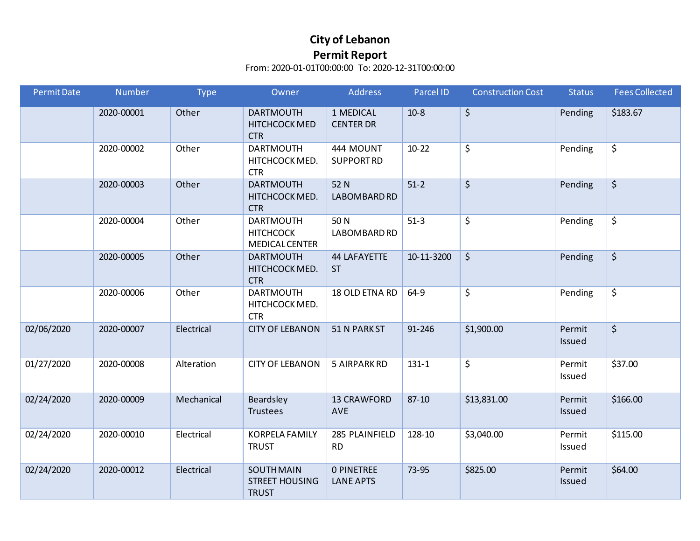| <b>Permit Date</b> | Number     | <b>Type</b> | Owner                                                         | <b>Address</b>                        | Parcel ID  | <b>Construction Cost</b> | <b>Status</b>    | <b>Fees Collected</b>  |
|--------------------|------------|-------------|---------------------------------------------------------------|---------------------------------------|------------|--------------------------|------------------|------------------------|
|                    | 2020-00001 | Other       | <b>DARTMOUTH</b><br>HITCHCOCK MED<br><b>CTR</b>               | 1 MEDICAL<br><b>CENTER DR</b>         | $10-8$     | \$                       | Pending          | \$183.67               |
|                    | 2020-00002 | Other       | <b>DARTMOUTH</b><br>HITCHCOCK MED.<br><b>CTR</b>              | 444 MOUNT<br><b>SUPPORTRD</b>         | $10-22$    | \$                       | Pending          | \$                     |
|                    | 2020-00003 | Other       | <b>DARTMOUTH</b><br>HITCHCOCK MED.<br><b>CTR</b>              | 52 N<br>LABOMBARD RD                  | $51-2$     | $\overline{\varsigma}$   | Pending          | $\overline{\varsigma}$ |
|                    | 2020-00004 | Other       | <b>DARTMOUTH</b><br><b>HITCHCOCK</b><br><b>MEDICAL CENTER</b> | 50 N<br>LABOMBARD RD                  | $51-3$     | \$                       | Pending          | \$                     |
|                    | 2020-00005 | Other       | <b>DARTMOUTH</b><br>HITCHCOCK MED.<br><b>CTR</b>              | <b>44 LAFAYETTE</b><br><b>ST</b>      | 10-11-3200 | $\zeta$                  | Pending          | $\boldsymbol{\zeta}$   |
|                    | 2020-00006 | Other       | <b>DARTMOUTH</b><br>HITCHCOCK MED.<br><b>CTR</b>              | 18 OLD ETNA RD                        | 64-9       | \$                       | Pending          | \$                     |
| 02/06/2020         | 2020-00007 | Electrical  | <b>CITY OF LEBANON</b>                                        | 51 N PARK ST                          | 91-246     | \$1,900.00               | Permit<br>Issued | \$                     |
| 01/27/2020         | 2020-00008 | Alteration  | <b>CITY OF LEBANON</b>                                        | 5 AIRPARK RD                          | $131 - 1$  | \$                       | Permit<br>Issued | \$37.00                |
| 02/24/2020         | 2020-00009 | Mechanical  | Beardsley<br>Trustees                                         | <b>13 CRAWFORD</b><br>AVE             | $87 - 10$  | \$13,831.00              | Permit<br>Issued | \$166.00               |
| 02/24/2020         | 2020-00010 | Electrical  | <b>KORPELA FAMILY</b><br><b>TRUST</b>                         | 285 PLAINFIELD<br><b>RD</b>           | 128-10     | \$3,040.00               | Permit<br>Issued | \$115.00               |
| 02/24/2020         | 2020-00012 | Electrical  | <b>SOUTH MAIN</b><br><b>STREET HOUSING</b><br><b>TRUST</b>    | <b>O PINETREE</b><br><b>LANE APTS</b> | 73-95      | \$825.00                 | Permit<br>Issued | \$64.00                |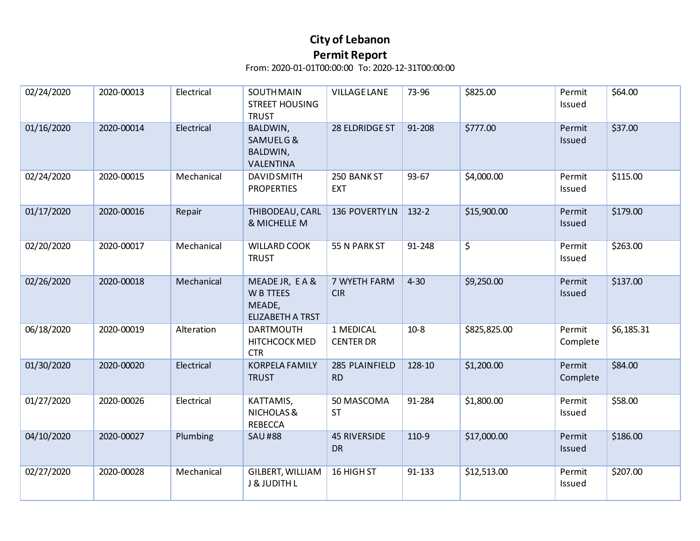| 02/24/2020 | 2020-00013 | Electrical | <b>SOUTH MAIN</b><br><b>STREET HOUSING</b><br><b>TRUST</b>        | <b>VILLAGE LANE</b>              | 73-96     | \$825.00               | Permit<br>Issued   | \$64.00    |
|------------|------------|------------|-------------------------------------------------------------------|----------------------------------|-----------|------------------------|--------------------|------------|
| 01/16/2020 | 2020-00014 | Electrical | BALDWIN,<br>SAMUELG&<br><b>BALDWIN,</b><br>VALENTINA              | 28 ELDRIDGE ST                   | 91-208    | \$777.00               | Permit<br>Issued   | \$37.00    |
| 02/24/2020 | 2020-00015 | Mechanical | <b>DAVID SMITH</b><br><b>PROPERTIES</b>                           | 250 BANK ST<br><b>EXT</b>        | $93 - 67$ | \$4,000.00             | Permit<br>Issued   | \$115.00   |
| 01/17/2020 | 2020-00016 | Repair     | THIBODEAU, CARL<br>& MICHELLE M                                   | 136 POVERTY LN                   | $132 - 2$ | \$15,900.00            | Permit<br>Issued   | \$179.00   |
| 02/20/2020 | 2020-00017 | Mechanical | <b>WILLARD COOK</b><br><b>TRUST</b>                               | 55 N PARK ST                     | 91-248    | $\overline{\varsigma}$ | Permit<br>Issued   | \$263.00   |
| 02/26/2020 | 2020-00018 | Mechanical | MEADE JR, E A &<br>W B TTEES<br>MEADE,<br><b>ELIZABETH A TRST</b> | 7 WYETH FARM<br><b>CIR</b>       | $4 - 30$  | \$9,250.00             | Permit<br>Issued   | \$137.00   |
| 06/18/2020 | 2020-00019 | Alteration | <b>DARTMOUTH</b><br>HITCHCOCK MED<br><b>CTR</b>                   | 1 MEDICAL<br><b>CENTER DR</b>    | $10-8$    | \$825,825.00           | Permit<br>Complete | \$6,185.31 |
| 01/30/2020 | 2020-00020 | Electrical | <b>KORPELA FAMILY</b><br><b>TRUST</b>                             | 285 PLAINFIELD<br><b>RD</b>      | 128-10    | \$1,200.00             | Permit<br>Complete | \$84.00    |
| 01/27/2020 | 2020-00026 | Electrical | KATTAMIS,<br>NICHOLAS&<br><b>REBECCA</b>                          | 50 MASCOMA<br><b>ST</b>          | 91-284    | \$1,800.00             | Permit<br>Issued   | \$58.00    |
| 04/10/2020 | 2020-00027 | Plumbing   | <b>SAU#88</b>                                                     | <b>45 RIVERSIDE</b><br><b>DR</b> | 110-9     | \$17,000.00            | Permit<br>Issued   | \$186.00   |
| 02/27/2020 | 2020-00028 | Mechanical | GILBERT, WILLIAM<br>J & JUDITH L                                  | 16 HIGH ST                       | 91-133    | \$12,513.00            | Permit<br>Issued   | \$207.00   |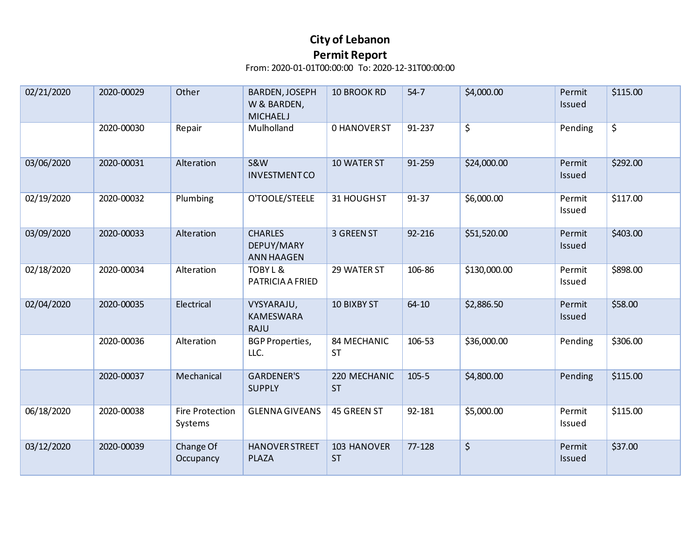| 02/21/2020 | 2020-00029 | Other                      | BARDEN, JOSEPH<br>W & BARDEN,<br><b>MICHAELJ</b>  | <b>10 BROOK RD</b>        | $54 - 7$  | \$4,000.00             | Permit<br>Issued | \$115.00               |
|------------|------------|----------------------------|---------------------------------------------------|---------------------------|-----------|------------------------|------------------|------------------------|
|            | 2020-00030 | Repair                     | Mulholland                                        | <b>0 HANOVER ST</b>       | 91-237    | $\overline{\varsigma}$ | Pending          | $\overline{\varsigma}$ |
| 03/06/2020 | 2020-00031 | Alteration                 | <b>S&amp;W</b><br><b>INVESTMENTCO</b>             | 10 WATER ST               | 91-259    | \$24,000.00            | Permit<br>Issued | \$292.00               |
| 02/19/2020 | 2020-00032 | Plumbing                   | O'TOOLE/STEELE                                    | 31 HOUGHST                | 91-37     | \$6,000.00             | Permit<br>Issued | \$117.00               |
| 03/09/2020 | 2020-00033 | Alteration                 | <b>CHARLES</b><br>DEPUY/MARY<br><b>ANN HAAGEN</b> | 3 GREEN ST                | 92-216    | \$51,520.00            | Permit<br>Issued | \$403.00               |
| 02/18/2020 | 2020-00034 | Alteration                 | TOBY L &<br>PATRICIA A FRIED                      | 29 WATER ST               | 106-86    | \$130,000.00           | Permit<br>Issued | \$898.00               |
| 02/04/2020 | 2020-00035 | Electrical                 | VYSYARAJU,<br><b>KAMESWARA</b><br>RAJU            | <b>10 BIXBY ST</b>        | $64 - 10$ | \$2,886.50             | Permit<br>Issued | \$58.00                |
|            | 2020-00036 | Alteration                 | <b>BGP Properties,</b><br>LLC.                    | 84 MECHANIC<br><b>ST</b>  | 106-53    | \$36,000.00            | Pending          | \$306.00               |
|            | 2020-00037 | Mechanical                 | <b>GARDENER'S</b><br><b>SUPPLY</b>                | 220 MECHANIC<br><b>ST</b> | $105 - 5$ | \$4,800.00             | Pending          | \$115.00               |
| 06/18/2020 | 2020-00038 | Fire Protection<br>Systems | <b>GLENNA GIVEANS</b>                             | 45 GREEN ST               | 92-181    | \$5,000.00             | Permit<br>Issued | \$115.00               |
| 03/12/2020 | 2020-00039 | Change Of<br>Occupancy     | <b>HANOVER STREET</b><br><b>PLAZA</b>             | 103 HANOVER<br><b>ST</b>  | 77-128    | \$                     | Permit<br>Issued | \$37.00                |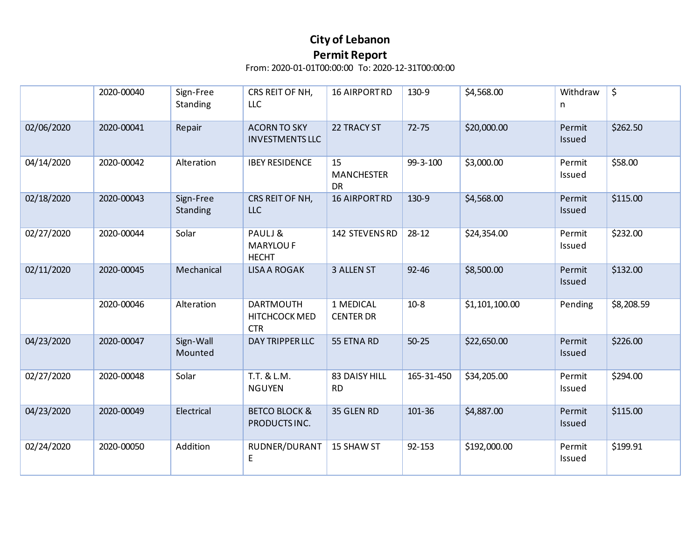|            | 2020-00040 | Sign-Free<br>Standing | CRS REIT OF NH,<br><b>LLC</b>                   | <b>16 AIRPORTRD</b>                  | 130-9      | \$4,568.00     | Withdraw<br>n    | \$         |
|------------|------------|-----------------------|-------------------------------------------------|--------------------------------------|------------|----------------|------------------|------------|
| 02/06/2020 | 2020-00041 | Repair                | <b>ACORN TO SKY</b><br><b>INVESTMENTS LLC</b>   | 22 TRACY ST                          | $72 - 75$  | \$20,000.00    | Permit<br>Issued | \$262.50   |
| 04/14/2020 | 2020-00042 | Alteration            | <b>IBEY RESIDENCE</b>                           | 15<br><b>MANCHESTER</b><br><b>DR</b> | 99-3-100   | \$3,000.00     | Permit<br>Issued | \$58.00    |
| 02/18/2020 | 2020-00043 | Sign-Free<br>Standing | CRS REIT OF NH,<br><b>LLC</b>                   | <b>16 AIRPORTRD</b>                  | 130-9      | \$4,568.00     | Permit<br>Issued | \$115.00   |
| 02/27/2020 | 2020-00044 | Solar                 | PAULJ&<br><b>MARYLOU F</b><br><b>HECHT</b>      | 142 STEVENS RD                       | $28 - 12$  | \$24,354.00    | Permit<br>Issued | \$232.00   |
| 02/11/2020 | 2020-00045 | Mechanical            | <b>LISA A ROGAK</b>                             | 3 ALLEN ST                           | $92 - 46$  | \$8,500.00     | Permit<br>Issued | \$132.00   |
|            | 2020-00046 | Alteration            | <b>DARTMOUTH</b><br>HITCHCOCK MED<br><b>CTR</b> | 1 MEDICAL<br><b>CENTER DR</b>        | $10-8$     | \$1,101,100.00 | Pending          | \$8,208.59 |
| 04/23/2020 | 2020-00047 | Sign-Wall<br>Mounted  | DAY TRIPPER LLC                                 | 55 ETNA RD                           | $50 - 25$  | \$22,650.00    | Permit<br>Issued | \$226.00   |
| 02/27/2020 | 2020-00048 | Solar                 | T.T. & L.M.<br><b>NGUYEN</b>                    | 83 DAISY HILL<br><b>RD</b>           | 165-31-450 | \$34,205.00    | Permit<br>Issued | \$294.00   |
| 04/23/2020 | 2020-00049 | Electrical            | <b>BETCO BLOCK &amp;</b><br>PRODUCTS INC.       | 35 GLEN RD                           | 101-36     | \$4,887.00     | Permit<br>Issued | \$115.00   |
| 02/24/2020 | 2020-00050 | Addition              | RUDNER/DURANT<br>E                              | 15 SHAW ST                           | 92-153     | \$192,000.00   | Permit<br>Issued | \$199.91   |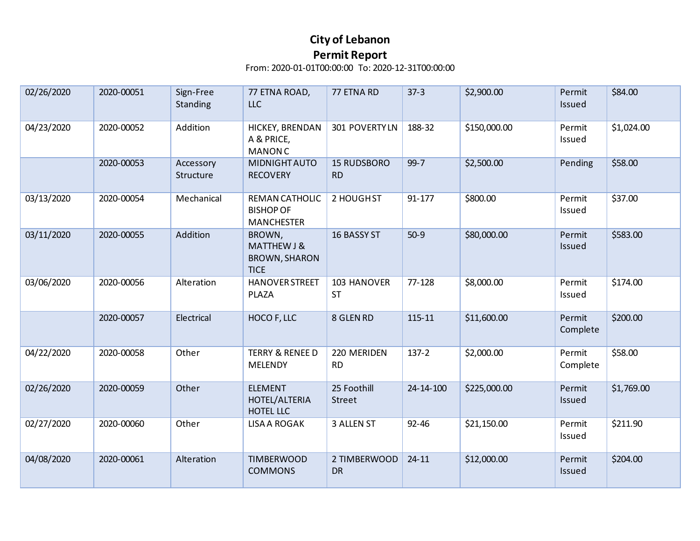| 02/26/2020 | 2020-00051 | Sign-Free<br>Standing  | 77 ETNA ROAD,<br><b>LLC</b>                                             | 77 ETNA RD                      | $37-3$    | \$2,900.00   | Permit<br>Issued   | \$84.00    |
|------------|------------|------------------------|-------------------------------------------------------------------------|---------------------------------|-----------|--------------|--------------------|------------|
| 04/23/2020 | 2020-00052 | Addition               | HICKEY, BRENDAN<br>A & PRICE,<br><b>MANON C</b>                         | 301 POVERTYLN                   | 188-32    | \$150,000.00 | Permit<br>Issued   | \$1,024.00 |
|            | 2020-00053 | Accessory<br>Structure | <b>MIDNIGHT AUTO</b><br><b>RECOVERY</b>                                 | <b>15 RUDSBORO</b><br><b>RD</b> | $99 - 7$  | \$2,500.00   | Pending            | \$58.00    |
| 03/13/2020 | 2020-00054 | Mechanical             | REMAN CATHOLIC<br><b>BISHOP OF</b><br><b>MANCHESTER</b>                 | 2 HOUGHST                       | 91-177    | \$800.00     | Permit<br>Issued   | \$37.00    |
| 03/11/2020 | 2020-00055 | Addition               | BROWN,<br><b>MATTHEW J &amp;</b><br><b>BROWN, SHARON</b><br><b>TICE</b> | 16 BASSY ST                     | $50-9$    | \$80,000.00  | Permit<br>Issued   | \$583.00   |
| 03/06/2020 | 2020-00056 | Alteration             | <b>HANOVER STREET</b><br>PLAZA                                          | 103 HANOVER<br><b>ST</b>        | 77-128    | \$8,000.00   | Permit<br>Issued   | \$174.00   |
|            | 2020-00057 | Electrical             | HOCO F, LLC                                                             | 8 GLEN RD                       | 115-11    | \$11,600.00  | Permit<br>Complete | \$200.00   |
| 04/22/2020 | 2020-00058 | Other                  | <b>TERRY &amp; RENEE D</b><br><b>MELENDY</b>                            | 220 MERIDEN<br><b>RD</b>        | $137 - 2$ | \$2,000.00   | Permit<br>Complete | \$58.00    |
| 02/26/2020 | 2020-00059 | Other                  | <b>ELEMENT</b><br>HOTEL/ALTERIA<br>HOTEL LLC                            | 25 Foothill<br>Street           | 24-14-100 | \$225,000.00 | Permit<br>Issued   | \$1,769.00 |
| 02/27/2020 | 2020-00060 | Other                  | <b>LISA A ROGAK</b>                                                     | 3 ALLEN ST                      | 92-46     | \$21,150.00  | Permit<br>Issued   | \$211.90   |
| 04/08/2020 | 2020-00061 | Alteration             | <b>TIMBERWOOD</b><br><b>COMMONS</b>                                     | 2 TIMBERWOOD<br><b>DR</b>       | $24 - 11$ | \$12,000.00  | Permit<br>Issued   | \$204.00   |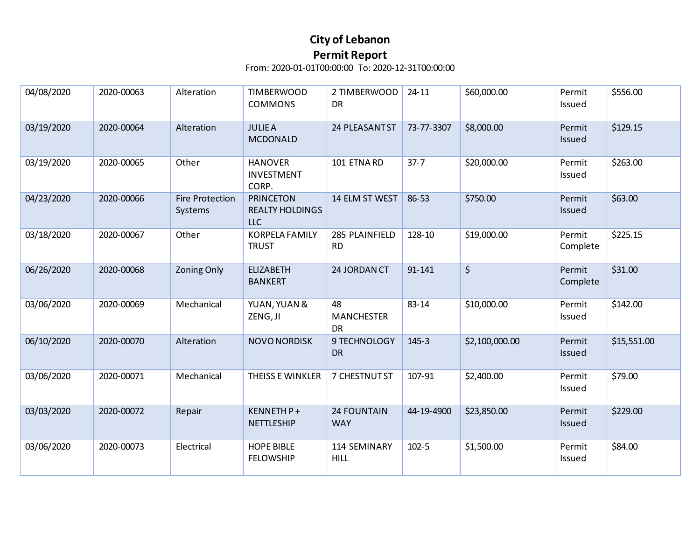| 04/08/2020 | 2020-00063 | Alteration                        | <b>TIMBERWOOD</b><br><b>COMMONS</b>                      | 2 TIMBERWOOD<br><b>DR</b>            | $24 - 11$  | \$60,000.00    | Permit<br>Issued   | \$556.00    |
|------------|------------|-----------------------------------|----------------------------------------------------------|--------------------------------------|------------|----------------|--------------------|-------------|
| 03/19/2020 | 2020-00064 | Alteration                        | <b>JULIEA</b><br><b>MCDONALD</b>                         | 24 PLEASANT ST                       | 73-77-3307 | \$8,000.00     | Permit<br>Issued   | \$129.15    |
| 03/19/2020 | 2020-00065 | Other                             | <b>HANOVER</b><br><b>INVESTMENT</b><br>CORP.             | 101 ETNA RD                          | $37 - 7$   | \$20,000.00    | Permit<br>Issued   | \$263.00    |
| 04/23/2020 | 2020-00066 | <b>Fire Protection</b><br>Systems | <b>PRINCETON</b><br><b>REALTY HOLDINGS</b><br><b>LLC</b> | 14 ELM ST WEST                       | 86-53      | \$750.00       | Permit<br>Issued   | \$63.00     |
| 03/18/2020 | 2020-00067 | Other                             | <b>KORPELA FAMILY</b><br><b>TRUST</b>                    | 285 PLAINFIELD<br><b>RD</b>          | 128-10     | \$19,000.00    | Permit<br>Complete | \$225.15    |
| 06/26/2020 | 2020-00068 | <b>Zoning Only</b>                | <b>ELIZABETH</b><br><b>BANKERT</b>                       | 24 JORDAN CT                         | 91-141     | $\zeta$        | Permit<br>Complete | \$31.00     |
| 03/06/2020 | 2020-00069 | Mechanical                        | YUAN, YUAN &<br>ZENG, JI                                 | 48<br><b>MANCHESTER</b><br><b>DR</b> | 83-14      | \$10,000.00    | Permit<br>Issued   | \$142.00    |
| 06/10/2020 | 2020-00070 | Alteration                        | <b>NOVO NORDISK</b>                                      | 9 TECHNOLOGY<br><b>DR</b>            | $145 - 3$  | \$2,100,000.00 | Permit<br>Issued   | \$15,551.00 |
| 03/06/2020 | 2020-00071 | Mechanical                        | THEISS E WINKLER                                         | 7 CHESTNUT ST                        | 107-91     | \$2,400.00     | Permit<br>Issued   | \$79.00     |
| 03/03/2020 | 2020-00072 | Repair                            | KENNETH P+<br><b>NETTLESHIP</b>                          | <b>24 FOUNTAIN</b><br><b>WAY</b>     | 44-19-4900 | \$23,850.00    | Permit<br>Issued   | \$229.00    |
| 03/06/2020 | 2020-00073 | Electrical                        | <b>HOPE BIBLE</b><br><b>FELOWSHIP</b>                    | 114 SEMINARY<br><b>HILL</b>          | $102 - 5$  | \$1,500.00     | Permit<br>Issued   | \$84.00     |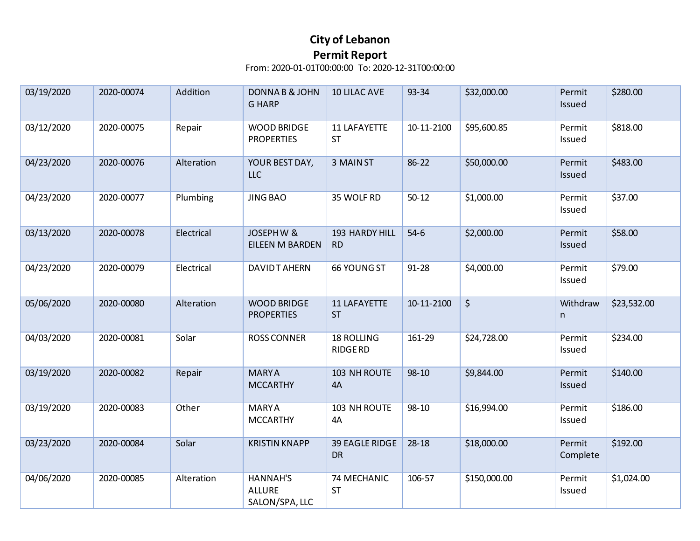| 03/19/2020 | 2020-00074 | Addition   | DONNAB&JOHN<br><b>G HARP</b>                   | <b>10 LILAC AVE</b>                 | 93-34      | \$32,000.00          | Permit<br>Issued   | \$280.00    |
|------------|------------|------------|------------------------------------------------|-------------------------------------|------------|----------------------|--------------------|-------------|
| 03/12/2020 | 2020-00075 | Repair     | <b>WOOD BRIDGE</b><br><b>PROPERTIES</b>        | 11 LAFAYETTE<br><b>ST</b>           | 10-11-2100 | \$95,600.85          | Permit<br>Issued   | \$818.00    |
| 04/23/2020 | 2020-00076 | Alteration | YOUR BEST DAY,<br><b>LLC</b>                   | 3 MAIN ST                           | 86-22      | \$50,000.00          | Permit<br>Issued   | \$483.00    |
| 04/23/2020 | 2020-00077 | Plumbing   | <b>JING BAO</b>                                | 35 WOLF RD                          | $50 - 12$  | \$1,000.00           | Permit<br>Issued   | \$37.00     |
| 03/13/2020 | 2020-00078 | Electrical | <b>JOSEPHW &amp;</b><br><b>EILEEN M BARDEN</b> | 193 HARDY HILL<br><b>RD</b>         | $54-6$     | \$2,000.00           | Permit<br>Issued   | \$58.00     |
| 04/23/2020 | 2020-00079 | Electrical | <b>DAVIDT AHERN</b>                            | <b>66 YOUNG ST</b>                  | $91 - 28$  | \$4,000.00           | Permit<br>Issued   | \$79.00     |
| 05/06/2020 | 2020-00080 | Alteration | <b>WOOD BRIDGE</b><br><b>PROPERTIES</b>        | 11 LAFAYETTE<br><b>ST</b>           | 10-11-2100 | $\boldsymbol{\zeta}$ | Withdraw<br>n      | \$23,532.00 |
|            |            |            |                                                |                                     |            |                      |                    |             |
| 04/03/2020 | 2020-00081 | Solar      | <b>ROSS CONNER</b>                             | <b>18 ROLLING</b><br><b>RIDGERD</b> | 161-29     | \$24,728.00          | Permit<br>Issued   | \$234.00    |
| 03/19/2020 | 2020-00082 | Repair     | <b>MARYA</b><br><b>MCCARTHY</b>                | 103 NH ROUTE<br>4A                  | $98 - 10$  | \$9,844.00           | Permit<br>Issued   | \$140.00    |
| 03/19/2020 | 2020-00083 | Other      | <b>MARYA</b><br><b>MCCARTHY</b>                | 103 NH ROUTE<br>4A                  | 98-10      | \$16,994.00          | Permit<br>Issued   | \$186.00    |
| 03/23/2020 | 2020-00084 | Solar      | <b>KRISTIN KNAPP</b>                           | 39 EAGLE RIDGE<br><b>DR</b>         | $28 - 18$  | \$18,000.00          | Permit<br>Complete | \$192.00    |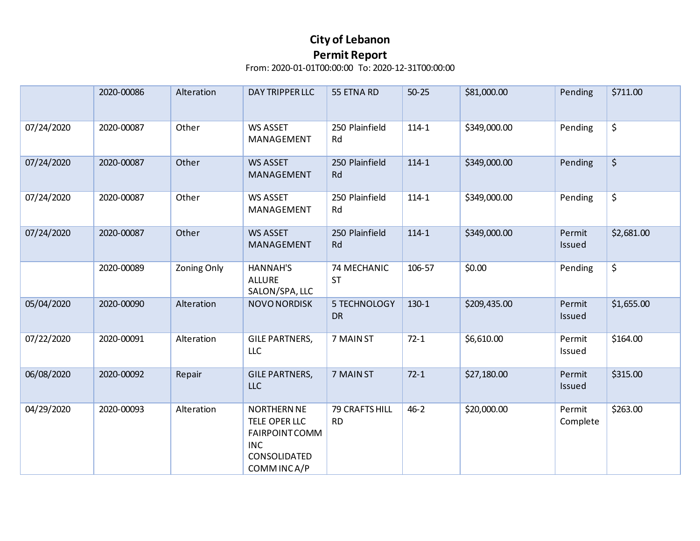|            | 2020-00086 | Alteration         | DAY TRIPPER LLC                                                                                          | 55 ETNA RD                  | $50 - 25$ | \$81,000.00  | Pending            | \$711.00                       |
|------------|------------|--------------------|----------------------------------------------------------------------------------------------------------|-----------------------------|-----------|--------------|--------------------|--------------------------------|
| 07/24/2020 | 2020-00087 | Other              | <b>WS ASSET</b><br>MANAGEMENT                                                                            | 250 Plainfield<br>Rd        | $114 - 1$ | \$349,000.00 | Pending            | \$                             |
| 07/24/2020 | 2020-00087 | Other              | <b>WS ASSET</b><br>MANAGEMENT                                                                            | 250 Plainfield<br>Rd        | $114 - 1$ | \$349,000.00 | Pending            | $\boldsymbol{\dot{\varsigma}}$ |
| 07/24/2020 | 2020-00087 | Other              | <b>WS ASSET</b><br>MANAGEMENT                                                                            | 250 Plainfield<br>Rd        | $114 - 1$ | \$349,000.00 | Pending            | \$                             |
| 07/24/2020 | 2020-00087 | Other              | <b>WS ASSET</b><br>MANAGEMENT                                                                            | 250 Plainfield<br>Rd        | $114 - 1$ | \$349,000.00 | Permit<br>Issued   | \$2,681.00                     |
|            | 2020-00089 | <b>Zoning Only</b> | <b>HANNAH'S</b><br><b>ALLURE</b><br>SALON/SPA, LLC                                                       | 74 MECHANIC<br><b>ST</b>    | 106-57    | \$0.00       | Pending            | \$                             |
| 05/04/2020 | 2020-00090 | Alteration         | NOVO NORDISK                                                                                             | 5 TECHNOLOGY<br><b>DR</b>   | $130-1$   | \$209,435.00 | Permit<br>Issued   | \$1,655.00                     |
| 07/22/2020 | 2020-00091 | Alteration         | <b>GILE PARTNERS,</b><br>LLC                                                                             | 7 MAIN ST                   | $72-1$    | \$6,610.00   | Permit<br>Issued   | \$164.00                       |
| 06/08/2020 | 2020-00092 | Repair             | <b>GILE PARTNERS,</b><br>LLC                                                                             | 7 MAIN ST                   | $72 - 1$  | \$27,180.00  | Permit<br>Issued   | \$315.00                       |
| 04/29/2020 | 2020-00093 | Alteration         | <b>NORTHERN NE</b><br>TELE OPER LLC<br><b>FAIRPOINT COMM</b><br><b>INC</b><br>CONSOLIDATED<br>COMMINCA/P | 79 CRAFTS HILL<br><b>RD</b> | $46 - 2$  | \$20,000.00  | Permit<br>Complete | \$263.00                       |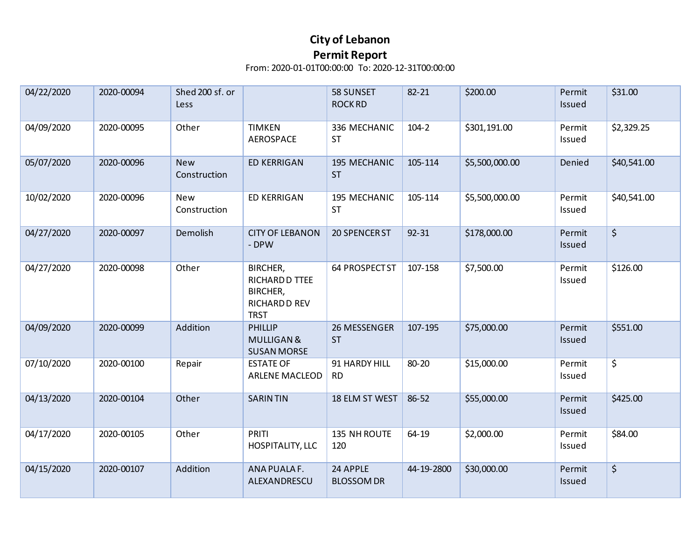| 04/22/2020 | 2020-00094 | Shed 200 sf. or<br>Less    |                                                                               | 58 SUNSET<br><b>ROCK RD</b>   | 82-21      | \$200.00       | Permit<br>Issued | \$31.00     |
|------------|------------|----------------------------|-------------------------------------------------------------------------------|-------------------------------|------------|----------------|------------------|-------------|
| 04/09/2020 | 2020-00095 | Other                      | <b>TIMKEN</b><br>AEROSPACE                                                    | 336 MECHANIC<br><b>ST</b>     | $104 - 2$  | \$301,191.00   | Permit<br>Issued | \$2,329.25  |
| 05/07/2020 | 2020-00096 | <b>New</b><br>Construction | <b>ED KERRIGAN</b>                                                            | 195 MECHANIC<br><b>ST</b>     | 105-114    | \$5,500,000.00 | Denied           | \$40,541.00 |
| 10/02/2020 | 2020-00096 | New<br>Construction        | <b>ED KERRIGAN</b>                                                            | 195 MECHANIC<br><b>ST</b>     | 105-114    | \$5,500,000.00 | Permit<br>Issued | \$40,541.00 |
| 04/27/2020 | 2020-00097 | Demolish                   | <b>CITY OF LEBANON</b><br>- DPW                                               | 20 SPENCER ST                 | $92 - 31$  | \$178,000.00   | Permit<br>Issued | \$          |
| 04/27/2020 | 2020-00098 | Other                      | BIRCHER,<br>RICHARD D TTEE<br>BIRCHER,<br><b>RICHARD D REV</b><br><b>TRST</b> | 64 PROSPECT ST                | 107-158    | \$7,500.00     | Permit<br>Issued | \$126.00    |
| 04/09/2020 | 2020-00099 | Addition                   | PHILLIP<br><b>MULLIGAN &amp;</b><br><b>SUSAN MORSE</b>                        | 26 MESSENGER<br><b>ST</b>     | 107-195    | \$75,000.00    | Permit<br>Issued | \$551.00    |
| 07/10/2020 | 2020-00100 | Repair                     | <b>ESTATE OF</b><br><b>ARLENE MACLEOD</b>                                     | 91 HARDY HILL<br><b>RD</b>    | 80-20      | \$15,000.00    | Permit<br>Issued | \$          |
| 04/13/2020 | 2020-00104 | Other                      | <b>SARINTIN</b>                                                               | 18 ELM ST WEST                | 86-52      | \$55,000.00    | Permit<br>Issued | \$425.00    |
| 04/17/2020 | 2020-00105 | Other                      | <b>PRITI</b><br>HOSPITALITY, LLC                                              | 135 NH ROUTE<br>120           | 64-19      | \$2,000.00     | Permit<br>Issued | \$84.00     |
| 04/15/2020 | 2020-00107 | Addition                   | ANA PUALA F.<br>ALEXANDRESCU                                                  | 24 APPLE<br><b>BLOSSOM DR</b> | 44-19-2800 | \$30,000.00    | Permit<br>Issued | \$          |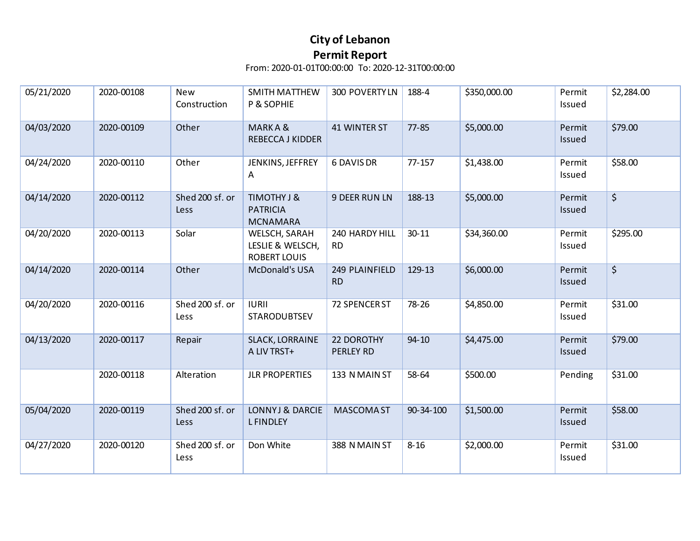| 05/21/2020 | 2020-00108 | New<br>Construction     | <b>SMITH MATTHEW</b><br>P & SOPHIE                              | 300 POVERTY LN                 | 188-4     | \$350,000.00 | Permit<br>Issued | \$2,284.00 |
|------------|------------|-------------------------|-----------------------------------------------------------------|--------------------------------|-----------|--------------|------------------|------------|
| 04/03/2020 | 2020-00109 | Other                   | MARKA&<br><b>REBECCA J KIDDER</b>                               | 41 WINTER ST                   | $77 - 85$ | \$5,000.00   | Permit<br>Issued | \$79.00    |
| 04/24/2020 | 2020-00110 | Other                   | JENKINS, JEFFREY<br>A                                           | 6 DAVIS DR                     | 77-157    | \$1,438.00   | Permit<br>Issued | \$58.00    |
| 04/14/2020 | 2020-00112 | Shed 200 sf. or<br>Less | TIMOTHY J &<br><b>PATRICIA</b><br><b>MCNAMARA</b>               | <b>9 DEER RUN LN</b>           | 188-13    | \$5,000.00   | Permit<br>Issued | $\zeta$    |
| 04/20/2020 | 2020-00113 | Solar                   | <b>WELSCH, SARAH</b><br>LESLIE & WELSCH,<br><b>ROBERT LOUIS</b> | 240 HARDY HILL<br><b>RD</b>    | $30 - 11$ | \$34,360.00  | Permit<br>Issued | \$295.00   |
| 04/14/2020 | 2020-00114 | Other                   | McDonald's USA                                                  | 249 PLAINFIELD<br><b>RD</b>    | 129-13    | \$6,000.00   | Permit<br>Issued | $\zeta$    |
| 04/20/2020 | 2020-00116 | Shed 200 sf. or<br>Less | <b>IURII</b><br>STARODUBTSEV                                    | 72 SPENCER ST                  | 78-26     | \$4,850.00   | Permit<br>Issued | \$31.00    |
| 04/13/2020 | 2020-00117 | Repair                  | <b>SLACK, LORRAINE</b><br>A LIV TRST+                           | 22 DOROTHY<br><b>PERLEY RD</b> | $94 - 10$ | \$4,475.00   | Permit<br>Issued | \$79.00    |
|            | 2020-00118 | Alteration              | <b>JLR PROPERTIES</b>                                           | 133 N MAIN ST                  | 58-64     | \$500.00     | Pending          | \$31.00    |
| 05/04/2020 | 2020-00119 | Shed 200 sf. or<br>Less | LONNYJ & DARCIE<br><b>LFINDLEY</b>                              | <b>MASCOMA ST</b>              | 90-34-100 | \$1,500.00   | Permit<br>Issued | \$58.00    |
| 04/27/2020 | 2020-00120 | Shed 200 sf. or<br>Less | Don White                                                       | 388 N MAIN ST                  | $8 - 16$  | \$2,000.00   | Permit<br>Issued | \$31.00    |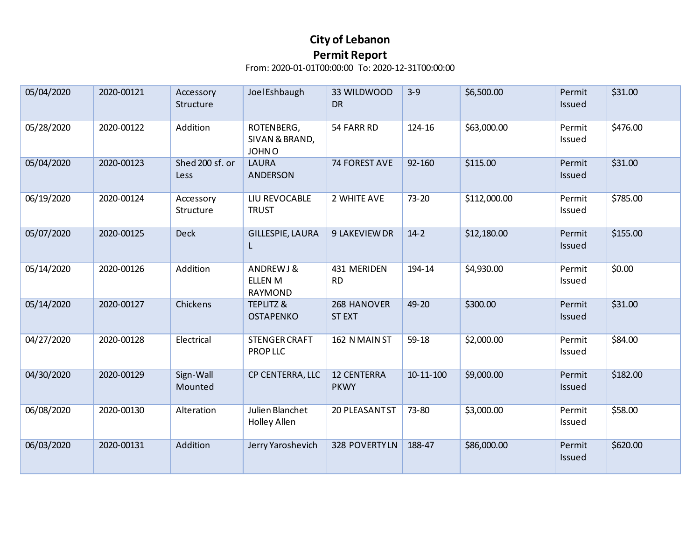| 05/04/2020 | 2020-00121 | Accessory<br>Structure  | Joel Eshbaugh                                | 33 WILDWOOD<br><b>DR</b>          | $3-9$           | \$6,500.00   | Permit<br>Issued        | \$31.00  |
|------------|------------|-------------------------|----------------------------------------------|-----------------------------------|-----------------|--------------|-------------------------|----------|
| 05/28/2020 | 2020-00122 | Addition                | ROTENBERG,<br>SIVAN & BRAND,<br>JOHN O       | 54 FARR RD                        | 124-16          | \$63,000.00  | Permit<br>Issued        | \$476.00 |
| 05/04/2020 | 2020-00123 | Shed 200 sf. or<br>Less | <b>LAURA</b><br>ANDERSON                     | 74 FOREST AVE                     | 92-160          | \$115.00     | Permit<br>Issued        | \$31.00  |
| 06/19/2020 | 2020-00124 | Accessory<br>Structure  | LIU REVOCABLE<br><b>TRUST</b>                | 2 WHITE AVE                       | $73 - 20$       | \$112,000.00 | Permit<br>Issued        | \$785.00 |
| 05/07/2020 | 2020-00125 | <b>Deck</b>             | GILLESPIE, LAURA<br>L                        | 9 LAKEVIEW DR                     | $14-2$          | \$12,180.00  | Permit<br>Issued        | \$155.00 |
| 05/14/2020 | 2020-00126 | Addition                | ANDREWJ&<br><b>ELLEN M</b><br><b>RAYMOND</b> | 431 MERIDEN<br><b>RD</b>          | 194-14          | \$4,930.00   | Permit<br>Issued        | \$0.00   |
| 05/14/2020 | 2020-00127 | Chickens                | <b>TEPLITZ &amp;</b><br><b>OSTAPENKO</b>     | 268 HANOVER<br><b>STEXT</b>       | 49-20           | \$300.00     | Permit<br>Issued        | \$31.00  |
| 04/27/2020 | 2020-00128 | Electrical              | <b>STENGER CRAFT</b><br>PROP LLC             | 162 N MAIN ST                     | $59-18$         | \$2,000.00   | Permit<br>Issued        | \$84.00  |
| 04/30/2020 | 2020-00129 | Sign-Wall<br>Mounted    | CP CENTERRA, LLC                             | <b>12 CENTERRA</b><br><b>PKWY</b> | $10 - 11 - 100$ | \$9,000.00   | Permit<br><b>Issued</b> | \$182.00 |
| 06/08/2020 | 2020-00130 | Alteration              | Julien Blanchet<br>Holley Allen              | 20 PLEASANT ST                    | 73-80           | \$3,000.00   | Permit<br>Issued        | \$58.00  |
| 06/03/2020 | 2020-00131 | Addition                | Jerry Yaroshevich                            | 328 POVERTYLN                     | 188-47          | \$86,000.00  | Permit<br>Issued        | \$620.00 |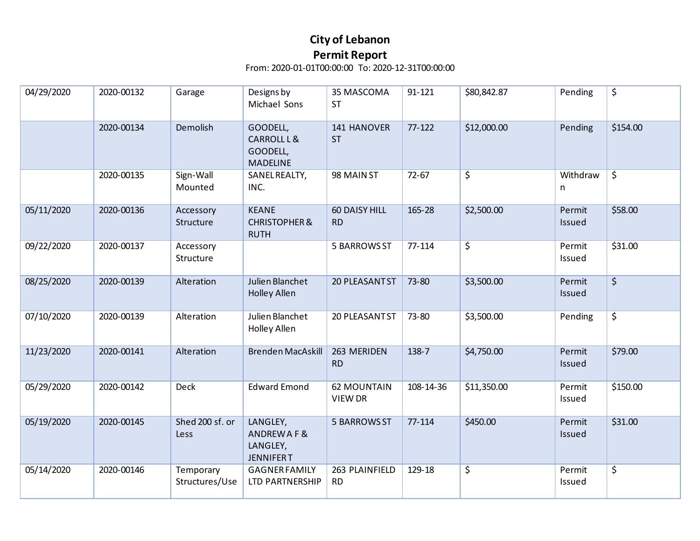| 04/29/2020 | 2020-00132 | Garage                      | Designs by<br>Michael Sons                              | 35 MASCOMA<br><b>ST</b>       | 91-121     | \$80,842.87 | Pending          | \$                     |
|------------|------------|-----------------------------|---------------------------------------------------------|-------------------------------|------------|-------------|------------------|------------------------|
|            | 2020-00134 | Demolish                    | GOODELL,<br>CARROLL L &<br>GOODELL,<br><b>MADELINE</b>  | 141 HANOVER<br><b>ST</b>      | $77 - 122$ | \$12,000.00 | Pending          | \$154.00               |
|            | 2020-00135 | Sign-Wall<br>Mounted        | SANEL REALTY,<br>INC.                                   | 98 MAIN ST                    | $72 - 67$  | $\zeta$     | Withdraw<br>n    | $\overline{\varsigma}$ |
| 05/11/2020 | 2020-00136 | Accessory<br>Structure      | <b>KEANE</b><br><b>CHRISTOPHER &amp;</b><br><b>RUTH</b> | 60 DAISY HILL<br><b>RD</b>    | 165-28     | \$2,500.00  | Permit<br>Issued | \$58.00                |
| 09/22/2020 | 2020-00137 | Accessory<br>Structure      |                                                         | 5 BARROWS ST                  | 77-114     | $\zeta$     | Permit<br>Issued | \$31.00                |
| 08/25/2020 | 2020-00139 | Alteration                  | Julien Blanchet<br><b>Holley Allen</b>                  | 20 PLEASANT ST                | 73-80      | \$3,500.00  | Permit<br>Issued | $\overline{\varsigma}$ |
| 07/10/2020 | 2020-00139 | Alteration                  | Julien Blanchet<br>Holley Allen                         | 20 PLEASANT ST                | 73-80      | \$3,500.00  | Pending          | $\overline{\varsigma}$ |
| 11/23/2020 | 2020-00141 | Alteration                  | <b>Brenden MacAskill</b>                                | 263 MERIDEN<br><b>RD</b>      | 138-7      | \$4,750.00  | Permit<br>Issued | \$79.00                |
| 05/29/2020 | 2020-00142 | Deck                        | <b>Edward Emond</b>                                     | <b>62 MOUNTAIN</b><br>VIEW DR | 108-14-36  | \$11,350.00 | Permit<br>Issued | \$150.00               |
| 05/19/2020 | 2020-00145 | Shed 200 sf. or<br>Less     | LANGLEY,<br>ANDREWAF&<br>LANGLEY,<br><b>JENNIFERT</b>   | <b>5 BARROWS ST</b>           | 77-114     | \$450.00    | Permit<br>Issued | \$31.00                |
| 05/14/2020 | 2020-00146 | Temporary<br>Structures/Use | <b>GAGNER FAMILY</b><br>LTD PARTNERSHIP                 | 263 PLAINFIELD<br><b>RD</b>   | 129-18     | \$          | Permit<br>Issued | \$                     |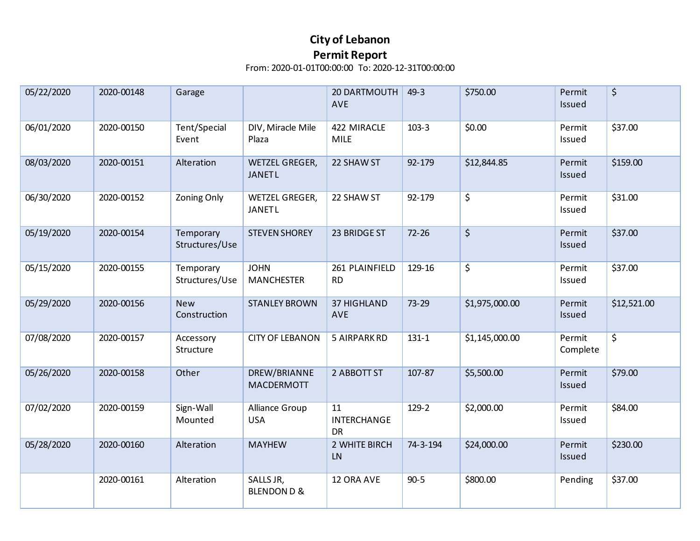| 05/22/2020 | 2020-00148 | Garage                      |                                     | 20 DARTMOUTH<br>AVE              | $49 - 3$  | \$750.00       | Permit<br>Issued   | \$          |
|------------|------------|-----------------------------|-------------------------------------|----------------------------------|-----------|----------------|--------------------|-------------|
| 06/01/2020 | 2020-00150 | Tent/Special<br>Event       | DIV, Miracle Mile<br>Plaza          | 422 MIRACLE<br><b>MILE</b>       | $103 - 3$ | \$0.00         | Permit<br>Issued   | \$37.00     |
| 08/03/2020 | 2020-00151 | Alteration                  | WETZEL GREGER,<br><b>JANETL</b>     | 22 SHAW ST                       | 92-179    | \$12,844.85    | Permit<br>Issued   | \$159.00    |
| 06/30/2020 | 2020-00152 | <b>Zoning Only</b>          | WETZEL GREGER,<br><b>JANETL</b>     | 22 SHAW ST                       | 92-179    | \$             | Permit<br>Issued   | \$31.00     |
| 05/19/2020 | 2020-00154 | Temporary<br>Structures/Use | <b>STEVEN SHOREY</b>                | 23 BRIDGE ST                     | $72 - 26$ | $\zeta$        | Permit<br>Issued   | \$37.00     |
| 05/15/2020 | 2020-00155 | Temporary<br>Structures/Use | <b>JOHN</b><br><b>MANCHESTER</b>    | 261 PLAINFIELD<br><b>RD</b>      | 129-16    | \$             | Permit<br>Issued   | \$37.00     |
| 05/29/2020 | 2020-00156 | <b>New</b><br>Construction  | <b>STANLEY BROWN</b>                | <b>37 HIGHLAND</b><br><b>AVE</b> | $73 - 29$ | \$1,975,000.00 | Permit<br>Issued   | \$12,521.00 |
| 07/08/2020 | 2020-00157 | Accessory<br>Structure      | <b>CITY OF LEBANON</b>              | 5 AIRPARK RD                     | $131 - 1$ | \$1,145,000.00 | Permit<br>Complete | \$          |
| 05/26/2020 | 2020-00158 | Other                       | DREW/BRIANNE<br>MACDERMOTT          | 2 ABBOTT ST                      | 107-87    | \$5,500.00     | Permit<br>Issued   | \$79.00     |
| 07/02/2020 | 2020-00159 | Sign-Wall<br>Mounted        | Alliance Group<br><b>USA</b>        | 11<br>INTERCHANGE<br><b>DR</b>   | 129-2     | \$2,000.00     | Permit<br>Issued   | \$84.00     |
| 05/28/2020 | 2020-00160 | Alteration                  | <b>MAYHEW</b>                       | 2 WHITE BIRCH<br>LN              | 74-3-194  | \$24,000.00    | Permit<br>Issued   | \$230.00    |
|            | 2020-00161 | Alteration                  | SALLS JR,<br><b>BLENDON D &amp;</b> | 12 ORA AVE                       | $90 - 5$  | \$800.00       | Pending            | \$37.00     |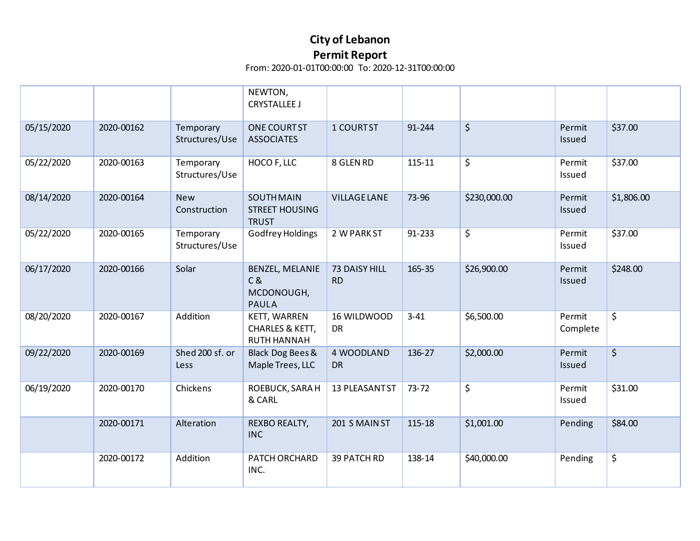|            |            |                             | NEWTON,<br><b>CRYSTALLEE J</b>                             |                            |           |              |                    |                        |
|------------|------------|-----------------------------|------------------------------------------------------------|----------------------------|-----------|--------------|--------------------|------------------------|
| 05/15/2020 | 2020-00162 | Temporary<br>Structures/Use | ONE COURTST<br><b>ASSOCIATES</b>                           | 1 COURTST                  | 91-244    | $\zeta$      | Permit<br>Issued   | \$37.00                |
| 05/22/2020 | 2020-00163 | Temporary<br>Structures/Use | HOCO F, LLC                                                | 8 GLEN RD                  | 115-11    | \$           | Permit<br>Issued   | \$37.00                |
| 08/14/2020 | 2020-00164 | <b>New</b><br>Construction  | <b>SOUTH MAIN</b><br><b>STREET HOUSING</b><br><b>TRUST</b> | <b>VILLAGE LANE</b>        | 73-96     | \$230,000.00 | Permit<br>Issued   | \$1,806.00             |
| 05/22/2020 | 2020-00165 | Temporary<br>Structures/Use | <b>Godfrey Holdings</b>                                    | 2 W PARK ST                | 91-233    | \$           | Permit<br>Issued   | \$37.00                |
| 06/17/2020 | 2020-00166 | Solar                       | BENZEL, MELANIE<br>C &<br>MCDONOUGH,<br><b>PAULA</b>       | 73 DAISY HILL<br><b>RD</b> | 165-35    | \$26,900.00  | Permit<br>Issued   | \$248.00               |
| 08/20/2020 | 2020-00167 | Addition                    | KETT, WARREN<br>CHARLES & KETT,<br><b>RUTH HANNAH</b>      | 16 WILDWOOD<br><b>DR</b>   | $3 - 41$  | \$6,500.00   | Permit<br>Complete | $\overline{\varsigma}$ |
| 09/22/2020 | 2020-00169 | Shed 200 sf. or<br>Less     | Black Dog Bees &<br>Maple Trees, LLC                       | 4 WOODLAND<br><b>DR</b>    | 136-27    | \$2,000.00   | Permit<br>Issued   | $\overline{\varsigma}$ |
| 06/19/2020 | 2020-00170 | Chickens                    | ROEBUCK, SARA H<br>& CARL                                  | 13 PLEASANT ST             | $73 - 72$ | \$           | Permit<br>Issued   | \$31.00                |
|            | 2020-00171 | Alteration                  | REXBO REALTY,<br><b>INC</b>                                | 201 S MAIN ST              | 115-18    | \$1,001.00   | Pending            | \$84.00                |
|            | 2020-00172 | Addition                    | PATCH ORCHARD<br>INC.                                      | 39 PATCH RD                | 138-14    | \$40,000.00  | Pending            | \$                     |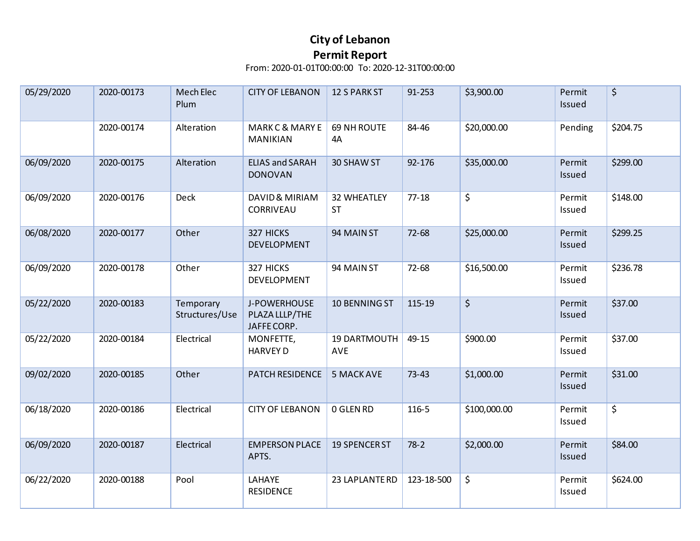| 05/29/2020 | 2020-00173 | Mech Elec<br>Plum           | <b>CITY OF LEBANON</b>                        | <b>12 S PARK ST</b>             | 91-253     | \$3,900.00   | Permit<br>Issued | \$       |
|------------|------------|-----------------------------|-----------------------------------------------|---------------------------------|------------|--------------|------------------|----------|
|            | 2020-00174 | Alteration                  | <b>MARKC &amp; MARY E</b><br><b>MANIKIAN</b>  | 69 NH ROUTE<br>4A               | 84-46      | \$20,000.00  | Pending          | \$204.75 |
| 06/09/2020 | 2020-00175 | Alteration                  | <b>ELIAS and SARAH</b><br><b>DONOVAN</b>      | 30 SHAW ST                      | 92-176     | \$35,000.00  | Permit<br>Issued | \$299.00 |
| 06/09/2020 | 2020-00176 | Deck                        | DAVID & MIRIAM<br>CORRIVEAU                   | <b>32 WHEATLEY</b><br><b>ST</b> | $77 - 18$  | \$           | Permit<br>Issued | \$148.00 |
| 06/08/2020 | 2020-00177 | Other                       | 327 HICKS<br><b>DEVELOPMENT</b>               | 94 MAIN ST                      | 72-68      | \$25,000.00  | Permit<br>Issued | \$299.25 |
| 06/09/2020 | 2020-00178 | Other                       | 327 HICKS<br>DEVELOPMENT                      | 94 MAIN ST                      | 72-68      | \$16,500.00  | Permit<br>Issued | \$236.78 |
| 05/22/2020 | 2020-00183 | Temporary<br>Structures/Use | J-POWERHOUSE<br>PLAZA LLLP/THE<br>JAFFE CORP. | 10 BENNING ST                   | 115-19     | $\zeta$      | Permit<br>Issued | \$37.00  |
| 05/22/2020 | 2020-00184 | Electrical                  | MONFETTE,<br><b>HARVEY D</b>                  | 19 DARTMOUTH<br>AVE             | 49-15      | \$900.00     | Permit<br>Issued | \$37.00  |
| 09/02/2020 | 2020-00185 | Other                       | PATCH RESIDENCE                               | <b>5 MACK AVE</b>               | $73 - 43$  | \$1,000.00   | Permit<br>Issued | \$31.00  |
| 06/18/2020 | 2020-00186 | Electrical                  | <b>CITY OF LEBANON</b>                        | 0 GLEN RD                       | 116-5      | \$100,000.00 | Permit<br>Issued | \$       |
| 06/09/2020 | 2020-00187 | Electrical                  | <b>EMPERSON PLACE</b><br>APTS.                | <b>19 SPENCER ST</b>            | $78-2$     | \$2,000.00   | Permit<br>Issued | \$84.00  |
| 06/22/2020 | 2020-00188 | Pool                        | LAHAYE<br><b>RESIDENCE</b>                    | 23 LAPLANTE RD                  | 123-18-500 | \$           | Permit<br>Issued | \$624.00 |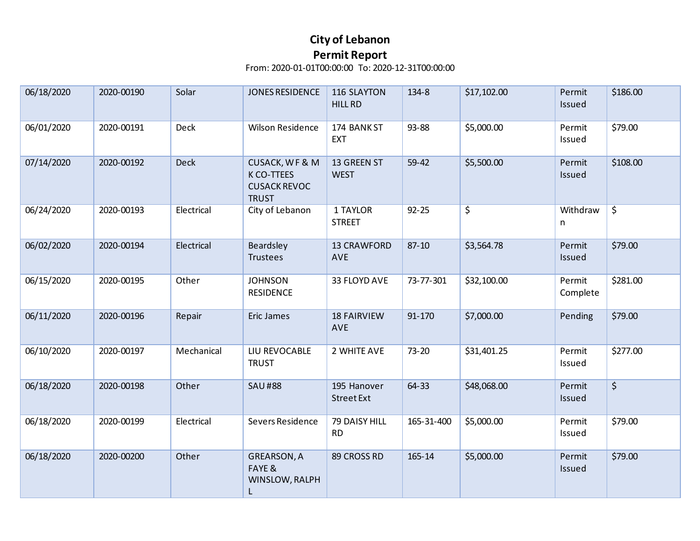| 06/18/2020 | 2020-00190 | Solar      | JONES RESIDENCE                                                                | 116 SLAYTON<br><b>HILL RD</b>    | 134-8      | \$17,102.00 | Permit<br>Issued   | \$186.00 |
|------------|------------|------------|--------------------------------------------------------------------------------|----------------------------------|------------|-------------|--------------------|----------|
| 06/01/2020 | 2020-00191 | Deck       | <b>Wilson Residence</b>                                                        | 174 BANK ST<br><b>EXT</b>        | 93-88      | \$5,000.00  | Permit<br>Issued   | \$79.00  |
| 07/14/2020 | 2020-00192 | Deck       | <b>CUSACK, WF &amp; M</b><br>K CO-TTEES<br><b>CUSACK REVOC</b><br><b>TRUST</b> | 13 GREEN ST<br><b>WEST</b>       | 59-42      | \$5,500.00  | Permit<br>Issued   | \$108.00 |
| 06/24/2020 | 2020-00193 | Electrical | City of Lebanon                                                                | 1 TAYLOR<br><b>STREET</b>        | $92 - 25$  | \$          | Withdraw<br>n      | \$       |
| 06/02/2020 | 2020-00194 | Electrical | Beardsley<br>Trustees                                                          | <b>13 CRAWFORD</b><br><b>AVE</b> | $87 - 10$  | \$3,564.78  | Permit<br>Issued   | \$79.00  |
| 06/15/2020 | 2020-00195 | Other      | <b>JOHNSON</b><br><b>RESIDENCE</b>                                             | 33 FLOYD AVE                     | 73-77-301  | \$32,100.00 | Permit<br>Complete | \$281.00 |
| 06/11/2020 | 2020-00196 | Repair     | Eric James                                                                     | <b>18 FAIRVIEW</b><br><b>AVE</b> | 91-170     | \$7,000.00  | Pending            | \$79.00  |
| 06/10/2020 | 2020-00197 | Mechanical | LIU REVOCABLE<br><b>TRUST</b>                                                  | 2 WHITE AVE                      | 73-20      | \$31,401.25 | Permit<br>Issued   | \$277.00 |
| 06/18/2020 | 2020-00198 | Other      | <b>SAU#88</b>                                                                  | 195 Hanover<br>Street Ext        | 64-33      | \$48,068.00 | Permit<br>Issued   | $\zeta$  |
| 06/18/2020 | 2020-00199 | Electrical | Severs Residence                                                               | 79 DAISY HILL<br><b>RD</b>       | 165-31-400 | \$5,000.00  | Permit<br>Issued   | \$79.00  |
| 06/18/2020 | 2020-00200 | Other      | <b>GREARSON, A</b><br>FAYE &<br>WINSLOW, RALPH<br>L.                           | 89 CROSS RD                      | 165-14     | \$5,000.00  | Permit<br>Issued   | \$79.00  |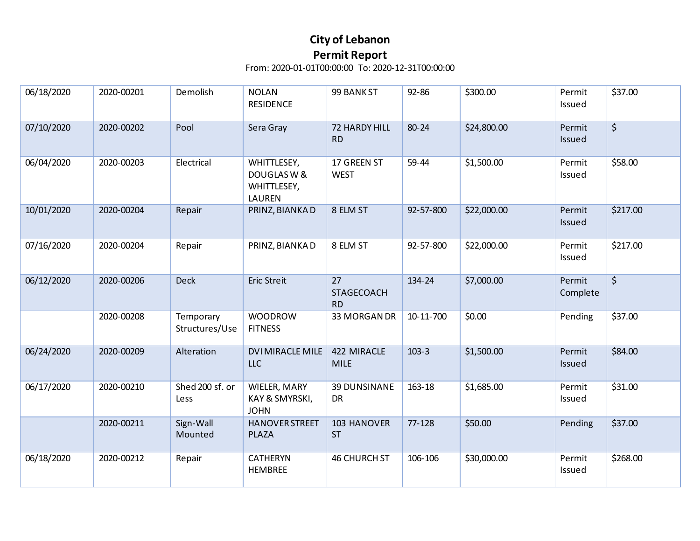| 06/18/2020 | 2020-00201 | Demolish                    | <b>NOLAN</b><br><b>RESIDENCE</b>                           | 99 BANK ST                           | 92-86     | \$300.00    | Permit<br>Issued   | \$37.00  |
|------------|------------|-----------------------------|------------------------------------------------------------|--------------------------------------|-----------|-------------|--------------------|----------|
| 07/10/2020 | 2020-00202 | Pool                        | Sera Gray                                                  | 72 HARDY HILL<br><b>RD</b>           | 80-24     | \$24,800.00 | Permit<br>Issued   | \$       |
| 06/04/2020 | 2020-00203 | Electrical                  | WHITTLESEY,<br>DOUGLAS W &<br>WHITTLESEY,<br><b>LAUREN</b> | 17 GREEN ST<br><b>WEST</b>           | 59-44     | \$1,500.00  | Permit<br>Issued   | \$58.00  |
| 10/01/2020 | 2020-00204 | Repair                      | PRINZ, BIANKAD                                             | 8 ELM ST                             | 92-57-800 | \$22,000.00 | Permit<br>Issued   | \$217.00 |
| 07/16/2020 | 2020-00204 | Repair                      | PRINZ, BIANKAD                                             | 8 ELM ST                             | 92-57-800 | \$22,000.00 | Permit<br>Issued   | \$217.00 |
| 06/12/2020 | 2020-00206 | <b>Deck</b>                 | Eric Streit                                                | 27<br><b>STAGECOACH</b><br><b>RD</b> | 134-24    | \$7,000.00  | Permit<br>Complete | \$       |
|            | 2020-00208 | Temporary<br>Structures/Use | <b>WOODROW</b><br><b>FITNESS</b>                           | 33 MORGAN DR                         | 10-11-700 | \$0.00      | Pending            | \$37.00  |
| 06/24/2020 | 2020-00209 | Alteration                  | <b>DVI MIRACLE MILE</b><br>LLC                             | 422 MIRACLE<br><b>MILE</b>           | $103-3$   | \$1,500.00  | Permit<br>Issued   | \$84.00  |
| 06/17/2020 | 2020-00210 | Shed 200 sf. or<br>Less     | WIELER, MARY<br>KAY & SMYRSKI,<br><b>JOHN</b>              | <b>39 DUNSINANE</b><br><b>DR</b>     | 163-18    | \$1,685.00  | Permit<br>Issued   | \$31.00  |
|            | 2020-00211 | Sign-Wall<br>Mounted        | <b>HANOVER STREET</b><br><b>PLAZA</b>                      | 103 HANOVER<br><b>ST</b>             | 77-128    | \$50.00     | Pending            | \$37.00  |
| 06/18/2020 | 2020-00212 | Repair                      | <b>CATHERYN</b><br><b>HEMBREE</b>                          | <b>46 CHURCH ST</b>                  | 106-106   | \$30,000.00 | Permit<br>Issued   | \$268.00 |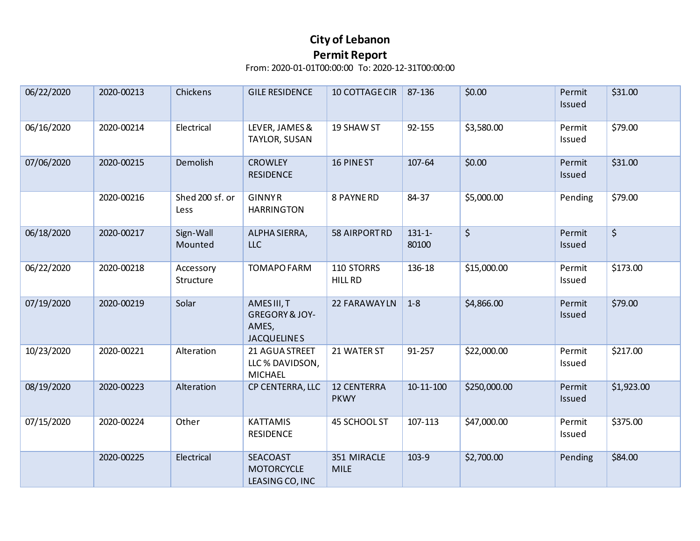| 06/22/2020 | 2020-00213 | Chickens                | <b>GILE RESIDENCE</b>                                                   | 10 COTTAGE CIR                    | 87-136               | \$0.00       | Permit<br>Issued | \$31.00    |
|------------|------------|-------------------------|-------------------------------------------------------------------------|-----------------------------------|----------------------|--------------|------------------|------------|
| 06/16/2020 | 2020-00214 | Electrical              | LEVER, JAMES &<br>TAYLOR, SUSAN                                         | 19 SHAW ST                        | 92-155               | \$3,580.00   | Permit<br>Issued | \$79.00    |
| 07/06/2020 | 2020-00215 | Demolish                | <b>CROWLEY</b><br><b>RESIDENCE</b>                                      | 16 PINEST                         | 107-64               | \$0.00       | Permit<br>Issued | \$31.00    |
|            | 2020-00216 | Shed 200 sf. or<br>Less | <b>GINNYR</b><br><b>HARRINGTON</b>                                      | 8 PAYNE RD                        | 84-37                | \$5,000.00   | Pending          | \$79.00    |
| 06/18/2020 | 2020-00217 | Sign-Wall<br>Mounted    | ALPHA SIERRA,<br><b>LLC</b>                                             | 58 AIRPORTRD                      | $131 - 1 -$<br>80100 | $\zeta$      | Permit<br>Issued | $\zeta$    |
| 06/22/2020 | 2020-00218 | Accessory<br>Structure  | <b>TOMAPO FARM</b>                                                      | 110 STORRS<br><b>HILL RD</b>      | 136-18               | \$15,000.00  | Permit<br>Issued | \$173.00   |
| 07/19/2020 | 2020-00219 | Solar                   | AMES III, T<br><b>GREGORY &amp; JOY-</b><br>AMES,<br><b>JACQUELINES</b> | 22 FARAWAYLN                      | $1 - 8$              | \$4,866.00   | Permit<br>Issued | \$79.00    |
| 10/23/2020 | 2020-00221 | Alteration              | 21 AGUA STREET<br>LLC % DAVIDSON,<br><b>MICHAEL</b>                     | 21 WATER ST                       | 91-257               | \$22,000.00  | Permit<br>Issued | \$217.00   |
| 08/19/2020 | 2020-00223 | Alteration              | CP CENTERRA, LLC                                                        | <b>12 CENTERRA</b><br><b>PKWY</b> | 10-11-100            | \$250,000.00 | Permit<br>Issued | \$1,923.00 |
| 07/15/2020 | 2020-00224 | Other                   | <b>KATTAMIS</b><br><b>RESIDENCE</b>                                     | 45 SCHOOL ST                      | 107-113              | \$47,000.00  | Permit<br>Issued | \$375.00   |
|            | 2020-00225 | Electrical              | SEACOAST<br><b>MOTORCYCLE</b><br>LEASING CO, INC                        | 351 MIRACLE<br><b>MILE</b>        | 103-9                | \$2,700.00   | Pending          | \$84.00    |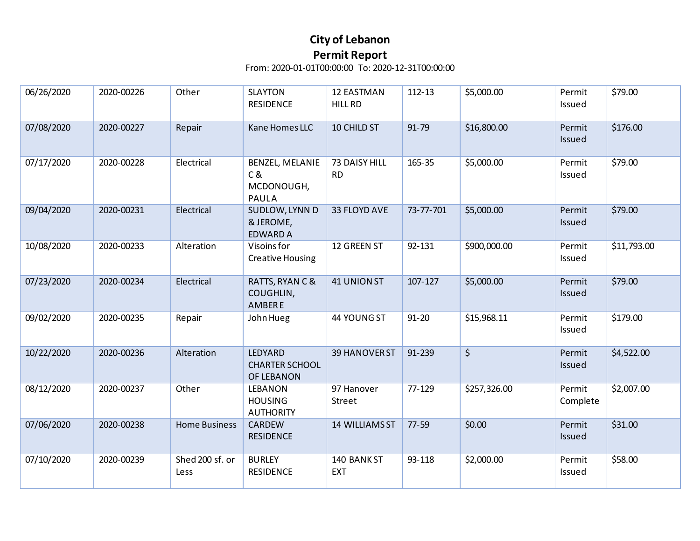| 06/26/2020 | 2020-00226 | Other                   | <b>SLAYTON</b><br><b>RESIDENCE</b>                   | <b>12 EASTMAN</b><br><b>HILL RD</b> | 112-13    | \$5,000.00   | Permit<br>Issued   | \$79.00     |
|------------|------------|-------------------------|------------------------------------------------------|-------------------------------------|-----------|--------------|--------------------|-------------|
| 07/08/2020 | 2020-00227 | Repair                  | Kane Homes LLC                                       | 10 CHILD ST                         | 91-79     | \$16,800.00  | Permit<br>Issued   | \$176.00    |
| 07/17/2020 | 2020-00228 | Electrical              | BENZEL, MELANIE<br>C &<br>MCDONOUGH,<br><b>PAULA</b> | 73 DAISY HILL<br><b>RD</b>          | 165-35    | \$5,000.00   | Permit<br>Issued   | \$79.00     |
| 09/04/2020 | 2020-00231 | Electrical              | SUDLOW, LYNN D<br>& JEROME,<br><b>EDWARD A</b>       | 33 FLOYD AVE                        | 73-77-701 | \$5,000.00   | Permit<br>Issued   | \$79.00     |
| 10/08/2020 | 2020-00233 | Alteration              | Visoins for<br><b>Creative Housing</b>               | 12 GREEN ST                         | 92-131    | \$900,000.00 | Permit<br>Issued   | \$11,793.00 |
| 07/23/2020 | 2020-00234 | Electrical              | RATTS, RYAN C &<br>COUGHLIN,<br><b>AMBERE</b>        | <b>41 UNION ST</b>                  | 107-127   | \$5,000.00   | Permit<br>Issued   | \$79.00     |
| 09/02/2020 | 2020-00235 | Repair                  | John Hueg                                            | 44 YOUNG ST                         | $91 - 20$ | \$15,968.11  | Permit<br>Issued   | \$179.00    |
| 10/22/2020 | 2020-00236 | Alteration              | LEDYARD<br><b>CHARTER SCHOOL</b><br>OF LEBANON       | 39 HANOVER ST                       | 91-239    | $\zeta$      | Permit<br>Issued   | \$4,522.00  |
| 08/12/2020 | 2020-00237 | Other                   | <b>LEBANON</b><br><b>HOUSING</b><br><b>AUTHORITY</b> | 97 Hanover<br>Street                | 77-129    | \$257,326.00 | Permit<br>Complete | \$2,007.00  |
| 07/06/2020 | 2020-00238 | <b>Home Business</b>    | CARDEW<br><b>RESIDENCE</b>                           | 14 WILLIAMS ST                      | 77-59     | \$0.00       | Permit<br>Issued   | \$31.00     |
| 07/10/2020 | 2020-00239 | Shed 200 sf. or<br>Less | <b>BURLEY</b><br><b>RESIDENCE</b>                    | 140 BANK ST<br><b>EXT</b>           | 93-118    | \$2,000.00   | Permit<br>Issued   | \$58.00     |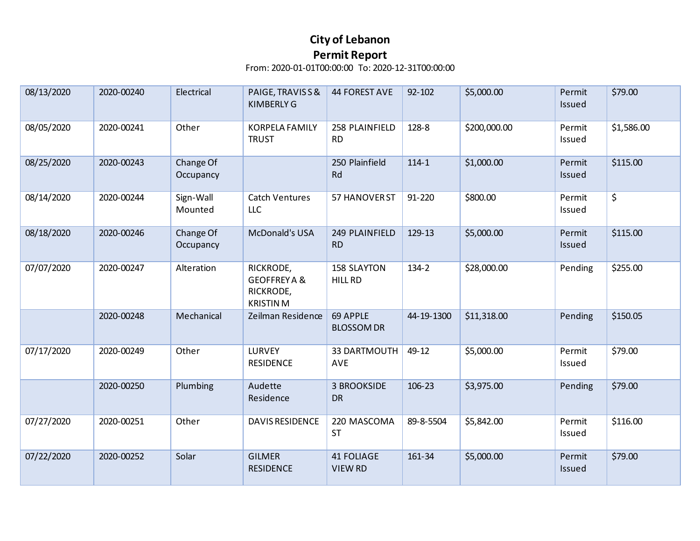| 08/13/2020 | 2020-00240 | Electrical             | PAIGE, TRAVISS&<br><b>KIMBERLY G</b>                                 | <b>44 FOREST AVE</b>                 | 92-102     | \$5,000.00   | Permit<br>Issued | \$79.00    |
|------------|------------|------------------------|----------------------------------------------------------------------|--------------------------------------|------------|--------------|------------------|------------|
| 08/05/2020 | 2020-00241 | Other                  | <b>KORPELA FAMILY</b><br><b>TRUST</b>                                | 258 PLAINFIELD<br><b>RD</b>          | 128-8      | \$200,000.00 | Permit<br>Issued | \$1,586.00 |
| 08/25/2020 | 2020-00243 | Change Of<br>Occupancy |                                                                      | 250 Plainfield<br>Rd                 | $114 - 1$  | \$1,000.00   | Permit<br>Issued | \$115.00   |
| 08/14/2020 | 2020-00244 | Sign-Wall<br>Mounted   | <b>Catch Ventures</b><br>LLC                                         | 57 HANOVER ST                        | 91-220     | \$800.00     | Permit<br>Issued | \$         |
| 08/18/2020 | 2020-00246 | Change Of<br>Occupancy | McDonald's USA                                                       | 249 PLAINFIELD<br><b>RD</b>          | 129-13     | \$5,000.00   | Permit<br>Issued | \$115.00   |
| 07/07/2020 | 2020-00247 | Alteration             | RICKRODE,<br><b>GEOFFREY A &amp;</b><br>RICKRODE,<br><b>KRISTINM</b> | <b>158 SLAYTON</b><br><b>HILL RD</b> | 134-2      | \$28,000.00  | Pending          | \$255.00   |
|            | 2020-00248 | Mechanical             | Zeilman Residence                                                    | 69 APPLE<br><b>BLOSSOM DR</b>        | 44-19-1300 | \$11,318.00  | Pending          | \$150.05   |
| 07/17/2020 | 2020-00249 | Other                  | <b>LURVEY</b><br><b>RESIDENCE</b>                                    | 33 DARTMOUTH<br><b>AVE</b>           | 49-12      | \$5,000.00   | Permit<br>Issued | \$79.00    |
|            | 2020-00250 | Plumbing               | Audette<br>Residence                                                 | <b>3 BROOKSIDE</b><br><b>DR</b>      | 106-23     | \$3,975.00   | Pending          | \$79.00    |
| 07/27/2020 | 2020-00251 | Other                  | <b>DAVIS RESIDENCE</b>                                               | 220 MASCOMA<br><b>ST</b>             | 89-8-5504  | \$5,842.00   | Permit<br>Issued | \$116.00   |
| 07/22/2020 | 2020-00252 | Solar                  | <b>GILMER</b><br><b>RESIDENCE</b>                                    | <b>41 FOLIAGE</b><br><b>VIEW RD</b>  | 161-34     | \$5,000.00   | Permit<br>Issued | \$79.00    |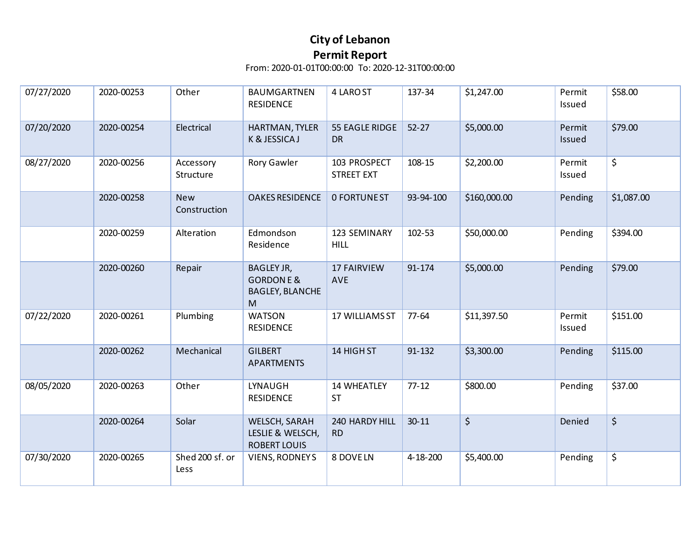| 07/27/2020 | 2020-00253 | Other                      | <b>BAUMGARTNEN</b><br><b>RESIDENCE</b>                                   | 4 LARO ST                         | 137-34    | \$1,247.00   | Permit<br>Issued | \$58.00    |
|------------|------------|----------------------------|--------------------------------------------------------------------------|-----------------------------------|-----------|--------------|------------------|------------|
| 07/20/2020 | 2020-00254 | Electrical                 | HARTMAN, TYLER<br>K & JESSICA J                                          | 55 EAGLE RIDGE<br>DR              | $52 - 27$ | \$5,000.00   | Permit<br>Issued | \$79.00    |
| 08/27/2020 | 2020-00256 | Accessory<br>Structure     | Rory Gawler                                                              | 103 PROSPECT<br><b>STREET EXT</b> | 108-15    | \$2,200.00   | Permit<br>Issued | \$         |
|            | 2020-00258 | <b>New</b><br>Construction | <b>OAKES RESIDENCE</b>                                                   | <b>0 FORTUNEST</b>                | 93-94-100 | \$160,000.00 | Pending          | \$1,087.00 |
|            | 2020-00259 | Alteration                 | Edmondson<br>Residence                                                   | 123 SEMINARY<br><b>HILL</b>       | 102-53    | \$50,000.00  | Pending          | \$394.00   |
|            | 2020-00260 | Repair                     | <b>BAGLEY JR,</b><br><b>GORDONE &amp;</b><br><b>BAGLEY, BLANCHE</b><br>M | <b>17 FAIRVIEW</b><br><b>AVE</b>  | 91-174    | \$5,000.00   | Pending          | \$79.00    |
| 07/22/2020 | 2020-00261 | Plumbing                   | <b>WATSON</b><br><b>RESIDENCE</b>                                        | 17 WILLIAMS ST                    | 77-64     | \$11,397.50  | Permit<br>Issued | \$151.00   |
|            | 2020-00262 | Mechanical                 | <b>GILBERT</b><br><b>APARTMENTS</b>                                      | 14 HIGH ST                        | 91-132    | \$3,300.00   | Pending          | \$115.00   |
| 08/05/2020 | 2020-00263 | Other                      | LYNAUGH<br><b>RESIDENCE</b>                                              | <b>14 WHEATLEY</b><br><b>ST</b>   | $77 - 12$ | \$800.00     | Pending          | \$37.00    |
|            | 2020-00264 | Solar                      | WELSCH, SARAH<br>LESLIE & WELSCH,<br><b>ROBERT LOUIS</b>                 | 240 HARDY HILL<br><b>RD</b>       | $30 - 11$ | $\zeta$      | Denied           | \$         |
| 07/30/2020 | 2020-00265 | Shed 200 sf. or<br>Less    | <b>VIENS, RODNEYS</b>                                                    | 8 DOVE LN                         | 4-18-200  | \$5,400.00   | Pending          | \$         |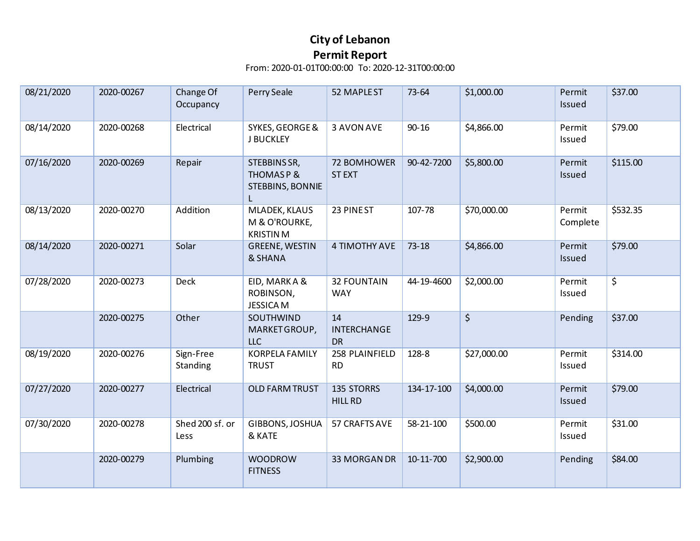| 08/21/2020 | 2020-00267 | Change Of<br>Occupancy  | Perry Seale                                             | 52 MAPLE ST                           | 73-64      | \$1,000.00  | Permit<br>Issued   | \$37.00                |
|------------|------------|-------------------------|---------------------------------------------------------|---------------------------------------|------------|-------------|--------------------|------------------------|
| 08/14/2020 | 2020-00268 | Electrical              | SYKES, GEORGE &<br><b>J BUCKLEY</b>                     | 3 AVON AVE                            | $90 - 16$  | \$4,866.00  | Permit<br>Issued   | \$79.00                |
| 07/16/2020 | 2020-00269 | Repair                  | STEBBINS SR,<br><b>THOMASP&amp;</b><br>STEBBINS, BONNIE | 72 BOMHOWER<br><b>STEXT</b>           | 90-42-7200 | \$5,800.00  | Permit<br>Issued   | \$115.00               |
| 08/13/2020 | 2020-00270 | Addition                | MLADEK, KLAUS<br>M & O'ROURKE,<br><b>KRISTINM</b>       | 23 PINEST                             | 107-78     | \$70,000.00 | Permit<br>Complete | \$532.35               |
| 08/14/2020 | 2020-00271 | Solar                   | <b>GREENE, WESTIN</b><br>& SHANA                        | 4 TIMOTHY AVE                         | $73 - 18$  | \$4,866.00  | Permit<br>Issued   | \$79.00                |
| 07/28/2020 | 2020-00273 | Deck                    | EID, MARK A &<br>ROBINSON,<br><b>JESSICAM</b>           | <b>32 FOUNTAIN</b><br><b>WAY</b>      | 44-19-4600 | \$2,000.00  | Permit<br>Issued   | $\overline{\varsigma}$ |
|            | 2020-00275 | Other                   | SOUTHWIND<br>MARKET GROUP,<br><b>LLC</b>                | 14<br><b>INTERCHANGE</b><br><b>DR</b> | 129-9      | $\zeta$     | Pending            | \$37.00                |
| 08/19/2020 | 2020-00276 | Sign-Free<br>Standing   | <b>KORPELA FAMILY</b><br><b>TRUST</b>                   | 258 PLAINFIELD<br><b>RD</b>           | 128-8      | \$27,000.00 | Permit<br>Issued   | \$314.00               |
| 07/27/2020 | 2020-00277 | Electrical              | <b>OLD FARM TRUST</b>                                   | 135 STORRS<br><b>HILL RD</b>          | 134-17-100 | \$4,000.00  | Permit<br>Issued   | \$79.00                |
| 07/30/2020 | 2020-00278 | Shed 200 sf. or<br>Less | GIBBONS, JOSHUA<br>& KATE                               | 57 CRAFTS AVE                         | 58-21-100  | \$500.00    | Permit<br>Issued   | \$31.00                |
|            | 2020-00279 | Plumbing                | <b>WOODROW</b><br><b>FITNESS</b>                        | 33 MORGAN DR                          | 10-11-700  | \$2,900.00  | Pending            | \$84.00                |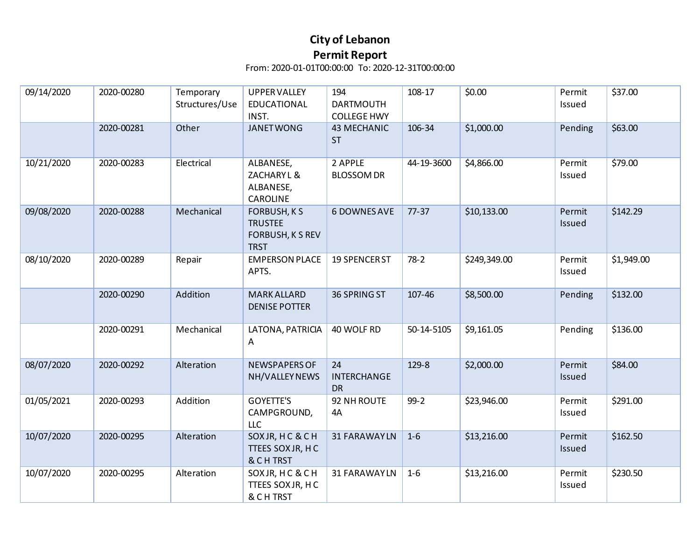| 09/14/2020 | 2020-00280 | Temporary<br>Structures/Use | <b>UPPER VALLEY</b><br><b>EDUCATIONAL</b><br>INST.                      | 194<br><b>DARTMOUTH</b><br><b>COLLEGE HWY</b> | 108-17     | \$0.00       | Permit<br>Issued | \$37.00    |
|------------|------------|-----------------------------|-------------------------------------------------------------------------|-----------------------------------------------|------------|--------------|------------------|------------|
|            | 2020-00281 | Other                       | <b>JANET WONG</b>                                                       | <b>43 MECHANIC</b><br><b>ST</b>               | 106-34     | \$1,000.00   | Pending          | \$63.00    |
| 10/21/2020 | 2020-00283 | Electrical                  | ALBANESE,<br>ZACHARY L &<br>ALBANESE,<br>CAROLINE                       | 2 APPLE<br><b>BLOSSOM DR</b>                  | 44-19-3600 | \$4,866.00   | Permit<br>Issued | \$79.00    |
| 09/08/2020 | 2020-00288 | Mechanical                  | <b>FORBUSH, KS</b><br><b>TRUSTEE</b><br>FORBUSH, K S REV<br><b>TRST</b> | <b>6 DOWNES AVE</b>                           | $77-37$    | \$10,133.00  | Permit<br>Issued | \$142.29   |
| 08/10/2020 | 2020-00289 | Repair                      | <b>EMPERSON PLACE</b><br>APTS.                                          | 19 SPENCER ST                                 | $78-2$     | \$249,349.00 | Permit<br>Issued | \$1,949.00 |
|            | 2020-00290 | Addition                    | <b>MARK ALLARD</b><br><b>DENISE POTTER</b>                              | 36 SPRING ST                                  | 107-46     | \$8,500.00   | Pending          | \$132.00   |
|            | 2020-00291 | Mechanical                  | LATONA, PATRICIA<br>A                                                   | 40 WOLF RD                                    | 50-14-5105 | \$9,161.05   | Pending          | \$136.00   |
| 08/07/2020 | 2020-00292 | Alteration                  | NEWSPAPERS OF<br>NH/VALLEY NEWS                                         | 24<br><b>INTERCHANGE</b><br><b>DR</b>         | 129-8      | \$2,000.00   | Permit<br>Issued | \$84.00    |
| 01/05/2021 | 2020-00293 | Addition                    | <b>GOYETTE'S</b><br>CAMPGROUND,<br><b>LLC</b>                           | 92 NH ROUTE<br>4A                             | $99-2$     | \$23,946.00  | Permit<br>Issued | \$291.00   |
| 10/07/2020 | 2020-00295 | Alteration                  | SOXJR, HC & CH<br>TTEES SOX JR, HC<br>& CH TRST                         | 31 FARAWAYLN                                  | $1-6$      | \$13,216.00  | Permit<br>Issued | \$162.50   |
| 10/07/2020 | 2020-00295 | Alteration                  | SOXJR, HC & CH<br>TTEES SOX JR, HC<br>& CHTRST                          | 31 FARAWAYLN                                  | $1-6$      | \$13,216.00  | Permit<br>Issued | \$230.50   |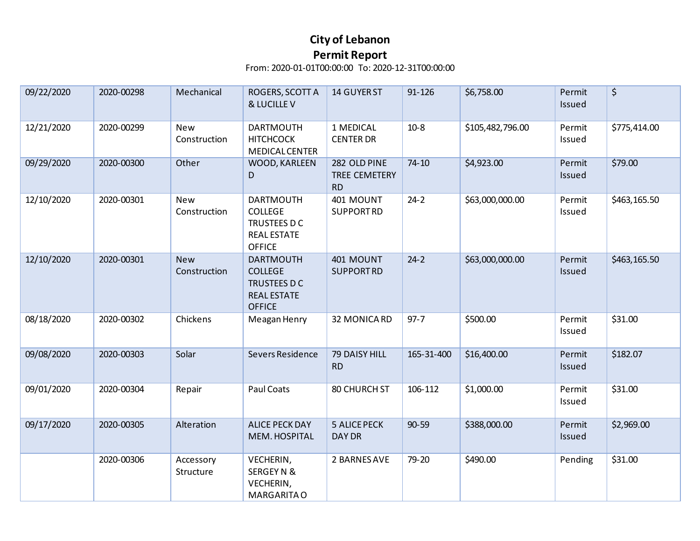| 09/22/2020 | 2020-00298 | Mechanical                 | ROGERS, SCOTT A<br>& LUCILLE V                                                            | 14 GUYER ST                                | 91-126     | \$6,758.00       | Permit<br>Issued | \$           |
|------------|------------|----------------------------|-------------------------------------------------------------------------------------------|--------------------------------------------|------------|------------------|------------------|--------------|
| 12/21/2020 | 2020-00299 | New<br>Construction        | <b>DARTMOUTH</b><br><b>HITCHCOCK</b><br><b>MEDICAL CENTER</b>                             | 1 MEDICAL<br><b>CENTER DR</b>              | $10-8$     | \$105,482,796.00 | Permit<br>Issued | \$775,414.00 |
| 09/29/2020 | 2020-00300 | Other                      | WOOD, KARLEEN<br>D                                                                        | 282 OLD PINE<br>TREE CEMETERY<br><b>RD</b> | $74 - 10$  | \$4,923.00       | Permit<br>Issued | \$79.00      |
| 12/10/2020 | 2020-00301 | <b>New</b><br>Construction | <b>DARTMOUTH</b><br><b>COLLEGE</b><br>TRUSTEES D C<br><b>REAL ESTATE</b><br><b>OFFICE</b> | 401 MOUNT<br><b>SUPPORTRD</b>              | $24-2$     | \$63,000,000.00  | Permit<br>Issued | \$463,165.50 |
| 12/10/2020 | 2020-00301 | <b>New</b><br>Construction | <b>DARTMOUTH</b><br><b>COLLEGE</b><br>TRUSTEES D C<br><b>REAL ESTATE</b><br><b>OFFICE</b> | 401 MOUNT<br><b>SUPPORTRD</b>              | $24-2$     | \$63,000,000.00  | Permit<br>Issued | \$463,165.50 |
| 08/18/2020 | 2020-00302 | Chickens                   | Meagan Henry                                                                              | 32 MONICA RD                               | $97 - 7$   | \$500.00         | Permit<br>Issued | \$31.00      |
| 09/08/2020 | 2020-00303 | Solar                      | Severs Residence                                                                          | 79 DAISY HILL<br><b>RD</b>                 | 165-31-400 | \$16,400.00      | Permit<br>Issued | \$182.07     |
| 09/01/2020 | 2020-00304 | Repair                     | Paul Coats                                                                                | 80 CHURCH ST                               | 106-112    | \$1,000.00       | Permit<br>Issued | \$31.00      |
| 09/17/2020 | 2020-00305 | Alteration                 | <b>ALICE PECK DAY</b><br>MEM. HOSPITAL                                                    | <b>5 ALICE PECK</b><br>DAY DR              | 90-59      | \$388,000.00     | Permit<br>Issued | \$2,969.00   |
|            | 2020-00306 | Accessory<br>Structure     | VECHERIN,<br>SERGEY N &<br>VECHERIN,<br><b>MARGARITA O</b>                                | 2 BARNES AVE                               | 79-20      | \$490.00         | Pending          | \$31.00      |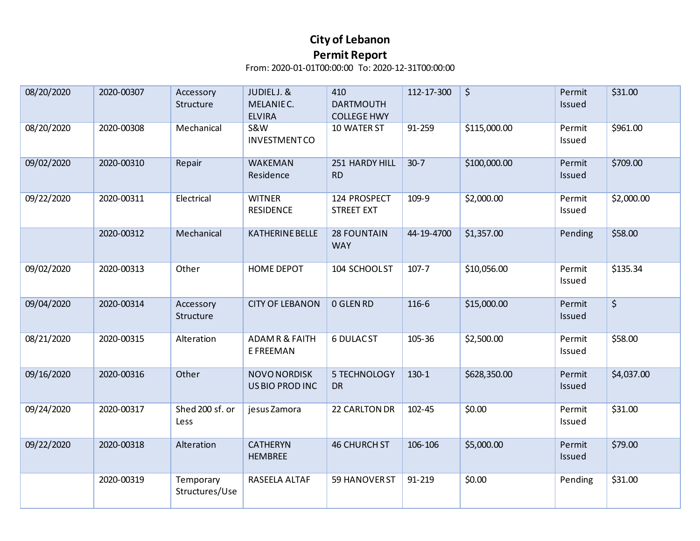| 08/20/2020 | 2020-00307 | Accessory<br>Structure      | JUDIELJ. &<br>MELANIE C.<br><b>ELVIRA</b> | 410<br><b>DARTMOUTH</b><br><b>COLLEGE HWY</b> | 112-17-300 | $\varsigma$  | Permit<br>Issued | \$31.00    |
|------------|------------|-----------------------------|-------------------------------------------|-----------------------------------------------|------------|--------------|------------------|------------|
| 08/20/2020 | 2020-00308 | Mechanical                  | <b>S&amp;W</b><br><b>INVESTMENTCO</b>     | 10 WATER ST                                   | 91-259     | \$115,000.00 | Permit<br>Issued | \$961.00   |
| 09/02/2020 | 2020-00310 | Repair                      | <b>WAKEMAN</b><br>Residence               | 251 HARDY HILL<br><b>RD</b>                   | $30-7$     | \$100,000.00 | Permit<br>Issued | \$709.00   |
| 09/22/2020 | 2020-00311 | Electrical                  | <b>WITNER</b><br><b>RESIDENCE</b>         | 124 PROSPECT<br><b>STREET EXT</b>             | 109-9      | \$2,000.00   | Permit<br>Issued | \$2,000.00 |
|            | 2020-00312 | Mechanical                  | <b>KATHERINE BELLE</b>                    | <b>28 FOUNTAIN</b><br><b>WAY</b>              | 44-19-4700 | \$1,357.00   | Pending          | \$58.00    |
| 09/02/2020 | 2020-00313 | Other                       | <b>HOME DEPOT</b>                         | 104 SCHOOLST                                  | $107 - 7$  | \$10,056.00  | Permit<br>Issued | \$135.34   |
| 09/04/2020 | 2020-00314 | Accessory<br>Structure      | <b>CITY OF LEBANON</b>                    | 0 GLEN RD                                     | 116-6      | \$15,000.00  | Permit<br>Issued | $\zeta$    |
| 08/21/2020 | 2020-00315 | Alteration                  | <b>ADAMR &amp; FAITH</b><br>E FREEMAN     | <b>6 DULAC ST</b>                             | 105-36     | \$2,500.00   | Permit<br>Issued | \$58.00    |
| 09/16/2020 | 2020-00316 | Other                       | NOVO NORDISK<br>US BIO PROD INC           | 5 TECHNOLOGY<br><b>DR</b>                     | $130-1$    | \$628,350.00 | Permit<br>Issued | \$4,037.00 |
| 09/24/2020 | 2020-00317 | Shed 200 sf. or<br>Less     | jesus Zamora                              | 22 CARLTON DR                                 | 102-45     | \$0.00       | Permit<br>Issued | \$31.00    |
| 09/22/2020 | 2020-00318 | Alteration                  | <b>CATHERYN</b><br><b>HEMBREE</b>         | <b>46 CHURCH ST</b>                           | 106-106    | \$5,000.00   | Permit<br>Issued | \$79.00    |
|            | 2020-00319 | Temporary<br>Structures/Use | RASEELA ALTAF                             | 59 HANOVER ST                                 | 91-219     | \$0.00       | Pending          | \$31.00    |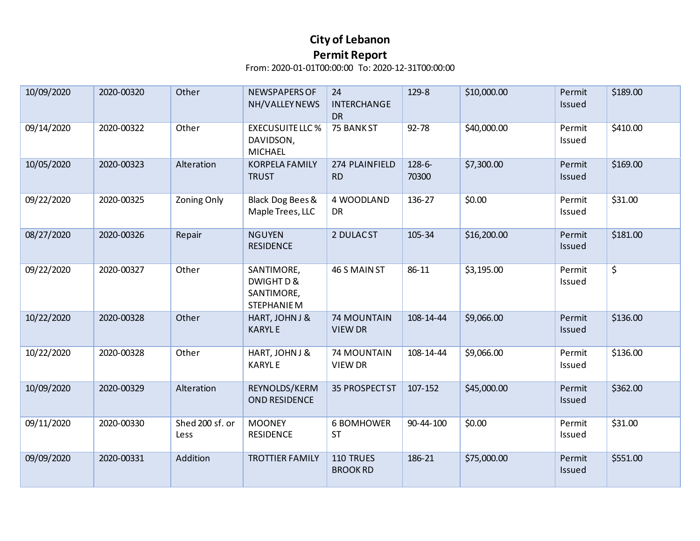| 10/09/2020 | 2020-00320 | Other                   | NEWSPAPERS OF<br>NH/VALLEY NEWS                             | 24<br><b>INTERCHANGE</b><br><b>DR</b> | 129-8           | \$10,000.00 | Permit<br>Issued | \$189.00 |
|------------|------------|-------------------------|-------------------------------------------------------------|---------------------------------------|-----------------|-------------|------------------|----------|
| 09/14/2020 | 2020-00322 | Other                   | <b>EXECUSUITE LLC %</b><br>DAVIDSON,<br><b>MICHAEL</b>      | 75 BANK ST                            | 92-78           | \$40,000.00 | Permit<br>Issued | \$410.00 |
| 10/05/2020 | 2020-00323 | Alteration              | <b>KORPELA FAMILY</b><br><b>TRUST</b>                       | 274 PLAINFIELD<br><b>RD</b>           | 128-6-<br>70300 | \$7,300.00  | Permit<br>Issued | \$169.00 |
| 09/22/2020 | 2020-00325 | <b>Zoning Only</b>      | Black Dog Bees &<br>Maple Trees, LLC                        | 4 WOODLAND<br><b>DR</b>               | 136-27          | \$0.00      | Permit<br>Issued | \$31.00  |
| 08/27/2020 | 2020-00326 | Repair                  | <b>NGUYEN</b><br><b>RESIDENCE</b>                           | 2 DULAC ST                            | 105-34          | \$16,200.00 | Permit<br>Issued | \$181.00 |
| 09/22/2020 | 2020-00327 | Other                   | SANTIMORE,<br>DWIGHT D &<br>SANTIMORE,<br><b>STEPHANIEM</b> | 46 S MAIN ST                          | 86-11           | \$3,195.00  | Permit<br>Issued | \$       |
| 10/22/2020 | 2020-00328 | Other                   | HART, JOHN J &<br><b>KARYLE</b>                             | <b>74 MOUNTAIN</b><br><b>VIEW DR</b>  | 108-14-44       | \$9,066.00  | Permit<br>Issued | \$136.00 |
| 10/22/2020 | 2020-00328 | Other                   | HART, JOHN J &<br><b>KARYLE</b>                             | <b>74 MOUNTAIN</b><br><b>VIEW DR</b>  | 108-14-44       | \$9,066.00  | Permit<br>Issued | \$136.00 |
| 10/09/2020 | 2020-00329 | Alteration              | REYNOLDS/KERM<br>OND RESIDENCE                              | 35 PROSPECT ST                        | 107-152         | \$45,000.00 | Permit<br>Issued | \$362.00 |
| 09/11/2020 | 2020-00330 | Shed 200 sf. or<br>Less | <b>MOONEY</b><br><b>RESIDENCE</b>                           | <b>6 BOMHOWER</b><br><b>ST</b>        | 90-44-100       | \$0.00      | Permit<br>Issued | \$31.00  |
| 09/09/2020 | 2020-00331 | Addition                | <b>TROTTIER FAMILY</b>                                      | 110 TRUES<br><b>BROOK RD</b>          | 186-21          | \$75,000.00 | Permit<br>Issued | \$551.00 |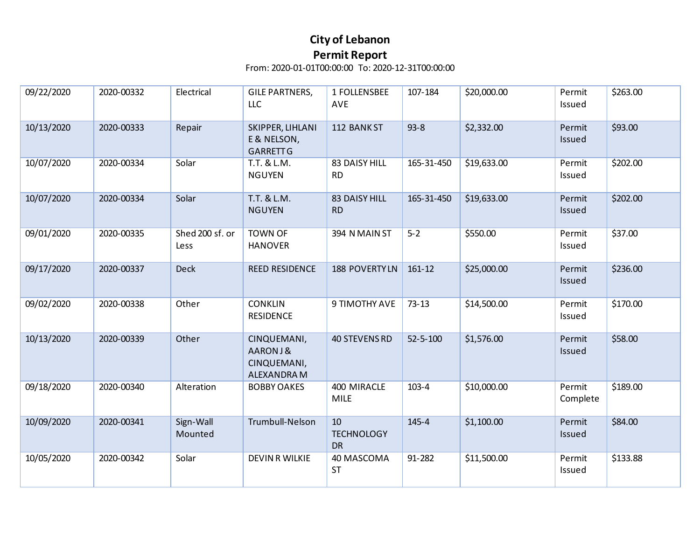| 09/22/2020 | 2020-00332 | Electrical              | <b>GILE PARTNERS,</b><br><b>LLC</b>                  | 1 FOLLENSBEE<br><b>AVE</b>           | 107-184        | \$20,000.00 | Permit<br>Issued   | \$263.00 |
|------------|------------|-------------------------|------------------------------------------------------|--------------------------------------|----------------|-------------|--------------------|----------|
| 10/13/2020 | 2020-00333 | Repair                  | SKIPPER, LIHLANI<br>E & NELSON,<br><b>GARRETT G</b>  | 112 BANK ST                          | $93 - 8$       | \$2,332.00  | Permit<br>Issued   | \$93.00  |
| 10/07/2020 | 2020-00334 | Solar                   | T.T. & L.M.<br><b>NGUYEN</b>                         | 83 DAISY HILL<br><b>RD</b>           | 165-31-450     | \$19,633.00 | Permit<br>Issued   | \$202.00 |
| 10/07/2020 | 2020-00334 | Solar                   | T.T. & L.M.<br><b>NGUYEN</b>                         | 83 DAISY HILL<br><b>RD</b>           | 165-31-450     | \$19,633.00 | Permit<br>Issued   | \$202.00 |
| 09/01/2020 | 2020-00335 | Shed 200 sf. or<br>Less | <b>TOWN OF</b><br><b>HANOVER</b>                     | 394 N MAIN ST                        | $5 - 2$        | \$550.00    | Permit<br>Issued   | \$37.00  |
| 09/17/2020 | 2020-00337 | <b>Deck</b>             | <b>REED RESIDENCE</b>                                | <b>188 POVERTYLN</b>                 | 161-12         | \$25,000.00 | Permit<br>Issued   | \$236.00 |
| 09/02/2020 | 2020-00338 | Other                   | <b>CONKLIN</b><br><b>RESIDENCE</b>                   | 9 TIMOTHY AVE                        | $73 - 13$      | \$14,500.00 | Permit<br>Issued   | \$170.00 |
| 10/13/2020 | 2020-00339 | Other                   | CINQUEMANI,<br>AARONJ&<br>CINQUEMANI,<br>ALEXANDRA M | <b>40 STEVENS RD</b>                 | $52 - 5 - 100$ | \$1,576.00  | Permit<br>Issued   | \$58.00  |
| 09/18/2020 | 2020-00340 | Alteration              | <b>BOBBY OAKES</b>                                   | 400 MIRACLE<br><b>MILE</b>           | $103 - 4$      | \$10,000.00 | Permit<br>Complete | \$189.00 |
| 10/09/2020 | 2020-00341 | Sign-Wall<br>Mounted    | Trumbull-Nelson                                      | 10<br><b>TECHNOLOGY</b><br><b>DR</b> | 145-4          | \$1,100.00  | Permit<br>Issued   | \$84.00  |
| 10/05/2020 | 2020-00342 | Solar                   | <b>DEVIN R WILKIE</b>                                | 40 MASCOMA<br><b>ST</b>              | 91-282         | \$11,500.00 | Permit<br>Issued   | \$133.88 |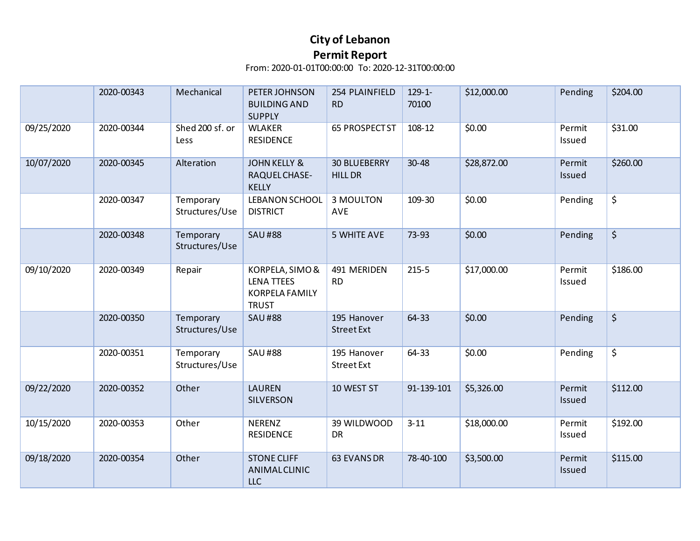|            | 2020-00343 | Mechanical                  | PETER JOHNSON<br><b>BUILDING AND</b><br><b>SUPPLY</b>                         | 254 PLAINFIELD<br><b>RD</b>           | $129 - 1 -$<br>70100 | \$12,000.00 | Pending          | \$204.00 |
|------------|------------|-----------------------------|-------------------------------------------------------------------------------|---------------------------------------|----------------------|-------------|------------------|----------|
| 09/25/2020 | 2020-00344 | Shed 200 sf. or<br>Less     | <b>WLAKER</b><br><b>RESIDENCE</b>                                             | <b>65 PROSPECT ST</b>                 | 108-12               | \$0.00      | Permit<br>Issued | \$31.00  |
| 10/07/2020 | 2020-00345 | Alteration                  | <b>JOHN KELLY &amp;</b><br>RAQUEL CHASE-<br><b>KELLY</b>                      | <b>30 BLUEBERRY</b><br><b>HILL DR</b> | $30 - 48$            | \$28,872.00 | Permit<br>Issued | \$260.00 |
|            | 2020-00347 | Temporary<br>Structures/Use | LEBANON SCHOOL<br><b>DISTRICT</b>                                             | 3 MOULTON<br><b>AVE</b>               | 109-30               | \$0.00      | Pending          | \$       |
|            | 2020-00348 | Temporary<br>Structures/Use | <b>SAU#88</b>                                                                 | <b>5 WHITE AVE</b>                    | 73-93                | \$0.00      | Pending          | \$       |
| 09/10/2020 | 2020-00349 | Repair                      | KORPELA, SIMO &<br><b>LENA TTEES</b><br><b>KORPELA FAMILY</b><br><b>TRUST</b> | 491 MERIDEN<br><b>RD</b>              | $215 - 5$            | \$17,000.00 | Permit<br>Issued | \$186.00 |
|            | 2020-00350 | Temporary<br>Structures/Use | <b>SAU#88</b>                                                                 | 195 Hanover<br><b>Street Ext</b>      | 64-33                | \$0.00      | Pending          | \$       |
|            | 2020-00351 | Temporary<br>Structures/Use | <b>SAU#88</b>                                                                 | 195 Hanover<br><b>Street Ext</b>      | 64-33                | \$0.00      | Pending          | \$       |
| 09/22/2020 | 2020-00352 | Other                       | <b>LAUREN</b><br><b>SILVERSON</b>                                             | 10 WEST ST                            | 91-139-101           | \$5,326.00  | Permit<br>Issued | \$112.00 |
| 10/15/2020 | 2020-00353 | Other                       | <b>NERENZ</b><br><b>RESIDENCE</b>                                             | 39 WILDWOOD<br><b>DR</b>              | $3 - 11$             | \$18,000.00 | Permit<br>Issued | \$192.00 |
| 09/18/2020 | 2020-00354 | Other                       | <b>STONE CLIFF</b><br>ANIMALCLINIC<br><b>LLC</b>                              | 63 EVANS DR                           | 78-40-100            | \$3,500.00  | Permit<br>Issued | \$115.00 |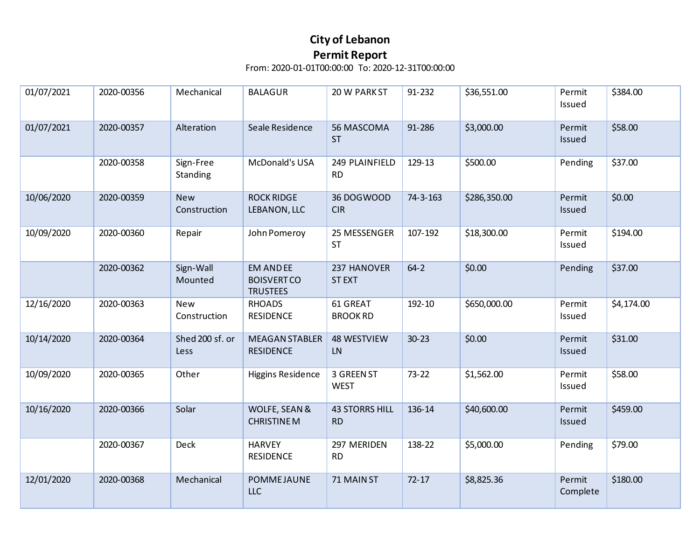| 01/07/2021 | 2020-00356 | Mechanical                 | <b>BALAGUR</b>                                           | 20 W PARK ST                       | 91-232    | \$36,551.00  | Permit<br>Issued   | \$384.00   |
|------------|------------|----------------------------|----------------------------------------------------------|------------------------------------|-----------|--------------|--------------------|------------|
| 01/07/2021 | 2020-00357 | Alteration                 | Seale Residence                                          | 56 MASCOMA<br><b>ST</b>            | 91-286    | \$3,000.00   | Permit<br>Issued   | \$58.00    |
|            | 2020-00358 | Sign-Free<br>Standing      | McDonald's USA                                           | 249 PLAINFIELD<br><b>RD</b>        | 129-13    | \$500.00     | Pending            | \$37.00    |
| 10/06/2020 | 2020-00359 | <b>New</b><br>Construction | <b>ROCK RIDGE</b><br>LEBANON, LLC                        | 36 DOGWOOD<br><b>CIR</b>           | 74-3-163  | \$286,350.00 | Permit<br>Issued   | \$0.00     |
| 10/09/2020 | 2020-00360 | Repair                     | John Pomeroy                                             | 25 MESSENGER<br><b>ST</b>          | 107-192   | \$18,300.00  | Permit<br>Issued   | \$194.00   |
|            | 2020-00362 | Sign-Wall<br>Mounted       | <b>EM AND EE</b><br><b>BOISVERTCO</b><br><b>TRUSTEES</b> | 237 HANOVER<br><b>STEXT</b>        | $64 - 2$  | \$0.00       | Pending            | \$37.00    |
| 12/16/2020 | 2020-00363 | <b>New</b><br>Construction | <b>RHOADS</b><br><b>RESIDENCE</b>                        | 61 GREAT<br><b>BROOK RD</b>        | 192-10    | \$650,000.00 | Permit<br>Issued   | \$4,174.00 |
| 10/14/2020 | 2020-00364 | Shed 200 sf. or<br>Less    | <b>MEAGAN STABLER</b><br><b>RESIDENCE</b>                | 48 WESTVIEW<br>LN                  | $30 - 23$ | \$0.00       | Permit<br>Issued   | \$31.00    |
| 10/09/2020 | 2020-00365 | Other                      | <b>Higgins Residence</b>                                 | 3 GREEN ST<br><b>WEST</b>          | $73 - 22$ | \$1,562.00   | Permit<br>Issued   | \$58.00    |
| 10/16/2020 | 2020-00366 | Solar                      | WOLFE, SEAN &<br><b>CHRISTINE M</b>                      | <b>43 STORRS HILL</b><br><b>RD</b> | 136-14    | \$40,600.00  | Permit<br>Issued   | \$459.00   |
|            | 2020-00367 | Deck                       | <b>HARVEY</b><br><b>RESIDENCE</b>                        | 297 MERIDEN<br><b>RD</b>           | 138-22    | \$5,000.00   | Pending            | \$79.00    |
| 12/01/2020 | 2020-00368 | Mechanical                 | POMMEJAUNE<br>LLC                                        | 71 MAIN ST                         | $72 - 17$ | \$8,825.36   | Permit<br>Complete | \$180.00   |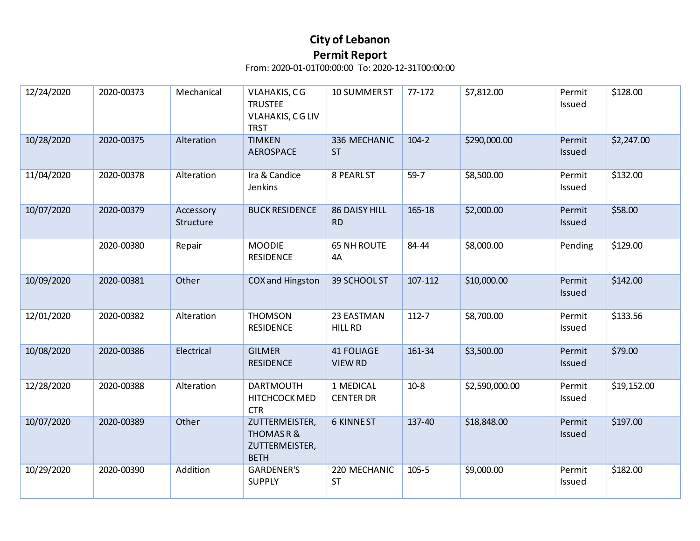| 12/24/2020 | 2020-00373 | Mechanical             | <b>VLAHAKIS, CG</b><br><b>TRUSTEE</b><br>VLAHAKIS, CG LIV<br><b>TRST</b> | 10 SUMMER ST                        | 77-172    | \$7,812.00     | Permit<br>Issued | \$128.00    |
|------------|------------|------------------------|--------------------------------------------------------------------------|-------------------------------------|-----------|----------------|------------------|-------------|
| 10/28/2020 | 2020-00375 | Alteration             | <b>TIMKEN</b><br><b>AEROSPACE</b>                                        | 336 MECHANIC<br><b>ST</b>           | $104 - 2$ | \$290,000.00   | Permit<br>Issued | \$2,247.00  |
| 11/04/2020 | 2020-00378 | Alteration             | Ira & Candice<br>Jenkins                                                 | 8 PEARLST                           | $59 - 7$  | \$8,500.00     | Permit<br>Issued | \$132.00    |
| 10/07/2020 | 2020-00379 | Accessory<br>Structure | <b>BUCK RESIDENCE</b>                                                    | 86 DAISY HILL<br><b>RD</b>          | 165-18    | \$2,000.00     | Permit<br>Issued | \$58.00     |
|            | 2020-00380 | Repair                 | <b>MOODIE</b><br><b>RESIDENCE</b>                                        | <b>65 NH ROUTE</b><br>4A            | 84-44     | \$8,000.00     | Pending          | \$129.00    |
| 10/09/2020 | 2020-00381 | Other                  | COX and Hingston                                                         | 39 SCHOOL ST                        | 107-112   | \$10,000.00    | Permit<br>Issued | \$142.00    |
| 12/01/2020 | 2020-00382 | Alteration             | <b>THOMSON</b><br><b>RESIDENCE</b>                                       | 23 EASTMAN<br><b>HILL RD</b>        | $112 - 7$ | \$8,700.00     | Permit<br>Issued | \$133.56    |
| 10/08/2020 | 2020-00386 | Electrical             | <b>GILMER</b><br><b>RESIDENCE</b>                                        | <b>41 FOLIAGE</b><br><b>VIEW RD</b> | 161-34    | \$3,500.00     | Permit<br>Issued | \$79.00     |
| 12/28/2020 | 2020-00388 | Alteration             | <b>DARTMOUTH</b><br>HITCHCOCK MED<br><b>CTR</b>                          | 1 MEDICAL<br><b>CENTER DR</b>       | $10-8$    | \$2,590,000.00 | Permit<br>Issued | \$19,152.00 |
| 10/07/2020 | 2020-00389 | Other                  | ZUTTERMEISTER,<br><b>THOMASR&amp;</b><br>ZUTTERMEISTER,<br><b>BETH</b>   | <b>6 KINNEST</b>                    | 137-40    | \$18,848.00    | Permit<br>Issued | \$197.00    |
| 10/29/2020 | 2020-00390 | Addition               | <b>GARDENER'S</b><br><b>SUPPLY</b>                                       | 220 MECHANIC<br><b>ST</b>           | $105 - 5$ | \$9,000.00     | Permit<br>Issued | \$182.00    |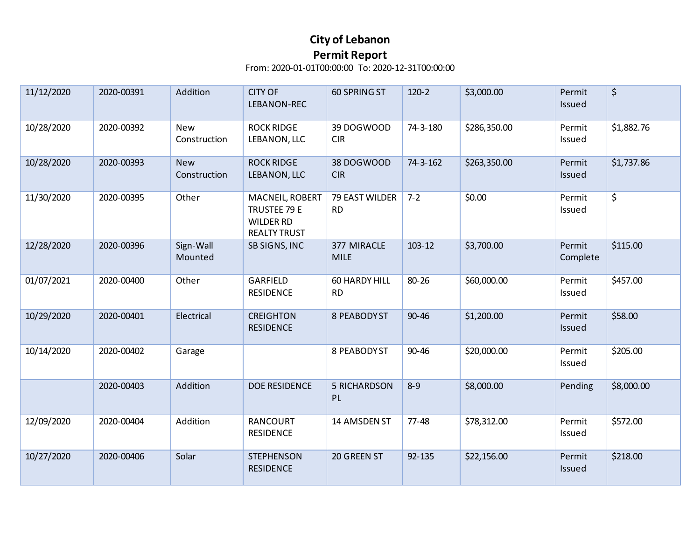| 11/12/2020 | 2020-00391 | Addition                   | <b>CITY OF</b><br>LEBANON-REC                                              | <b>60 SPRING ST</b>         | $120-2$   | \$3,000.00   | Permit<br>Issued   | \$         |
|------------|------------|----------------------------|----------------------------------------------------------------------------|-----------------------------|-----------|--------------|--------------------|------------|
| 10/28/2020 | 2020-00392 | <b>New</b><br>Construction | <b>ROCK RIDGE</b><br>LEBANON, LLC                                          | 39 DOGWOOD<br><b>CIR</b>    | 74-3-180  | \$286,350.00 | Permit<br>Issued   | \$1,882.76 |
| 10/28/2020 | 2020-00393 | <b>New</b><br>Construction | <b>ROCK RIDGE</b><br>LEBANON, LLC                                          | 38 DOGWOOD<br><b>CIR</b>    | 74-3-162  | \$263,350.00 | Permit<br>Issued   | \$1,737.86 |
| 11/30/2020 | 2020-00395 | Other                      | MACNEIL, ROBERT<br>TRUSTEE 79 E<br><b>WILDER RD</b><br><b>REALTY TRUST</b> | 79 EAST WILDER<br><b>RD</b> | $7 - 2$   | \$0.00       | Permit<br>Issued   | \$         |
| 12/28/2020 | 2020-00396 | Sign-Wall<br>Mounted       | SB SIGNS, INC                                                              | 377 MIRACLE<br><b>MILE</b>  | 103-12    | \$3,700.00   | Permit<br>Complete | \$115.00   |
| 01/07/2021 | 2020-00400 | Other                      | GARFIELD<br><b>RESIDENCE</b>                                               | 60 HARDY HILL<br><b>RD</b>  | 80-26     | \$60,000.00  | Permit<br>Issued   | \$457.00   |
| 10/29/2020 | 2020-00401 | Electrical                 | <b>CREIGHTON</b><br><b>RESIDENCE</b>                                       | <b>8 PEABODYST</b>          | $90 - 46$ | \$1,200.00   | Permit<br>Issued   | \$58.00    |
| 10/14/2020 | 2020-00402 | Garage                     |                                                                            | 8 PEABODY ST                | $90 - 46$ | \$20,000.00  | Permit<br>Issued   | \$205.00   |
|            | 2020-00403 | Addition                   | <b>DOE RESIDENCE</b>                                                       | <b>5 RICHARDSON</b><br>PL   | $8 - 9$   | \$8,000.00   | Pending            | \$8,000.00 |
| 12/09/2020 | 2020-00404 | Addition                   | <b>RANCOURT</b><br><b>RESIDENCE</b>                                        | 14 AMSDEN ST                | $77 - 48$ | \$78,312.00  | Permit<br>Issued   | \$572.00   |
| 10/27/2020 | 2020-00406 | Solar                      | <b>STEPHENSON</b><br><b>RESIDENCE</b>                                      | 20 GREEN ST                 | 92-135    | \$22,156.00  | Permit<br>Issued   | \$218.00   |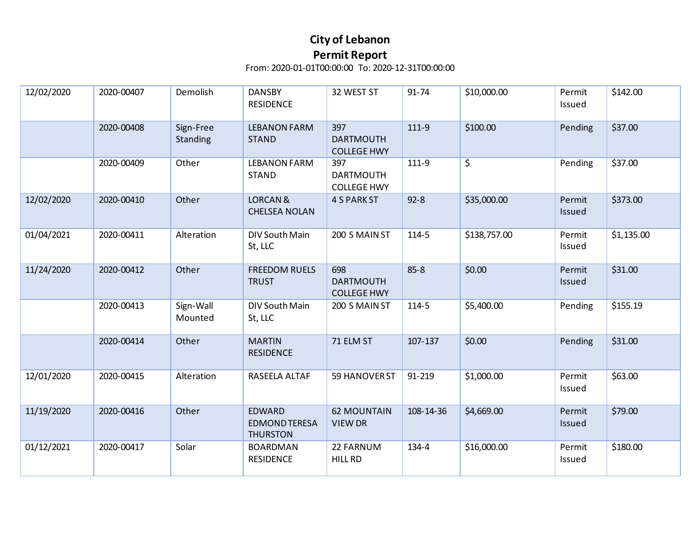| 12/02/2020 | 2020-00407 | Demolish              | <b>DANSBY</b><br><b>RESIDENCE</b>                        | 32 WEST ST                                    | 91-74     | \$10,000.00  | Permit<br>Issued | \$142.00   |
|------------|------------|-----------------------|----------------------------------------------------------|-----------------------------------------------|-----------|--------------|------------------|------------|
|            | 2020-00408 | Sign-Free<br>Standing | <b>LEBANON FARM</b><br><b>STAND</b>                      | 397<br><b>DARTMOUTH</b><br><b>COLLEGE HWY</b> | $111-9$   | \$100.00     | Pending          | \$37.00    |
|            | 2020-00409 | Other                 | <b>LEBANON FARM</b><br><b>STAND</b>                      | 397<br><b>DARTMOUTH</b><br><b>COLLEGE HWY</b> | 111-9     | \$           | Pending          | \$37.00    |
| 12/02/2020 | 2020-00410 | Other                 | <b>LORCAN &amp;</b><br><b>CHELSEA NOLAN</b>              | <b>4 S PARK ST</b>                            | $92 - 8$  | \$35,000.00  | Permit<br>Issued | \$373.00   |
| 01/04/2021 | 2020-00411 | Alteration            | DIV South Main<br>St, LLC                                | 200 S MAIN ST                                 | 114-5     | \$138,757.00 | Permit<br>Issued | \$1,135.00 |
| 11/24/2020 | 2020-00412 | Other                 | <b>FREEDOM RUELS</b><br><b>TRUST</b>                     | 698<br><b>DARTMOUTH</b><br><b>COLLEGE HWY</b> | $85 - 8$  | \$0.00       | Permit<br>Issued | \$31.00    |
|            | 2020-00413 | Sign-Wall<br>Mounted  | DIV South Main<br>St, LLC                                | 200 S MAIN ST                                 | 114-5     | \$5,400.00   | Pending          | \$155.19   |
|            | 2020-00414 | Other                 | <b>MARTIN</b><br><b>RESIDENCE</b>                        | 71 ELM ST                                     | 107-137   | \$0.00       | Pending          | \$31.00    |
| 12/01/2020 | 2020-00415 | Alteration            | RASEELA ALTAF                                            | 59 HANOVER ST                                 | 91-219    | \$1,000.00   | Permit<br>Issued | \$63.00    |
| 11/19/2020 | 2020-00416 | Other                 | <b>EDWARD</b><br><b>EDMOND TERESA</b><br><b>THURSTON</b> | <b>62 MOUNTAIN</b><br><b>VIEW DR</b>          | 108-14-36 | \$4,669.00   | Permit<br>Issued | \$79.00    |
| 01/12/2021 | 2020-00417 | Solar                 | <b>BOARDMAN</b><br><b>RESIDENCE</b>                      | 22 FARNUM<br><b>HILL RD</b>                   | 134-4     | \$16,000.00  | Permit<br>Issued | \$180.00   |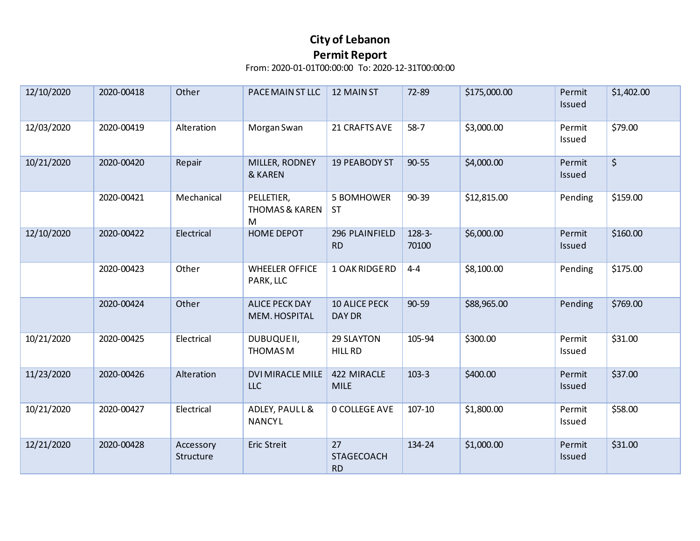| 12/10/2020 | 2020-00418 | Other                  | PACE MAIN ST LLC                             | 12 MAIN ST                            | 72-89             | \$175,000.00 | Permit<br>Issued | \$1,402.00 |
|------------|------------|------------------------|----------------------------------------------|---------------------------------------|-------------------|--------------|------------------|------------|
| 12/03/2020 | 2020-00419 | Alteration             | Morgan Swan                                  | 21 CRAFTS AVE                         | $58-7$            | \$3,000.00   | Permit<br>Issued | \$79.00    |
| 10/21/2020 | 2020-00420 | Repair                 | MILLER, RODNEY<br>& KAREN                    | 19 PEABODY ST                         | $90 - 55$         | \$4,000.00   | Permit<br>Issued | $\zeta$    |
|            | 2020-00421 | Mechanical             | PELLETIER,<br><b>THOMAS &amp; KAREN</b><br>M | 5 BOMHOWER<br><b>ST</b>               | 90-39             | \$12,815.00  | Pending          | \$159.00   |
| 12/10/2020 | 2020-00422 | Electrical             | <b>HOME DEPOT</b>                            | 296 PLAINFIELD<br><b>RD</b>           | $128-3-$<br>70100 | \$6,000.00   | Permit<br>Issued | \$160.00   |
|            | 2020-00423 | Other                  | <b>WHEELER OFFICE</b><br>PARK, LLC           | 1 OAK RIDGE RD                        | $4 - 4$           | \$8,100.00   | Pending          | \$175.00   |
|            | 2020-00424 | Other                  | <b>ALICE PECK DAY</b><br>MEM. HOSPITAL       | <b>10 ALICE PECK</b><br><b>DAY DR</b> | 90-59             | \$88,965.00  | Pending          | \$769.00   |
| 10/21/2020 | 2020-00425 | Electrical             | DUBUQUEII,<br>THOMAS M                       | 29 SLAYTON<br>HILL RD                 | 105-94            | \$300.00     | Permit<br>Issued | \$31.00    |
| 11/23/2020 | 2020-00426 | Alteration             | <b>DVI MIRACLE MILE</b><br><b>LLC</b>        | 422 MIRACLE<br><b>MILE</b>            | $103 - 3$         | \$400.00     | Permit<br>Issued | \$37.00    |
| 10/21/2020 | 2020-00427 | Electrical             | ADLEY, PAULL &<br>NANCYL                     | <b>0 COLLEGE AVE</b>                  | $107 - 10$        | \$1,800.00   | Permit<br>Issued | \$58.00    |
| 12/21/2020 | 2020-00428 | Accessory<br>Structure | Eric Streit                                  | 27<br><b>STAGECOACH</b><br><b>RD</b>  | 134-24            | \$1,000.00   | Permit<br>Issued | \$31.00    |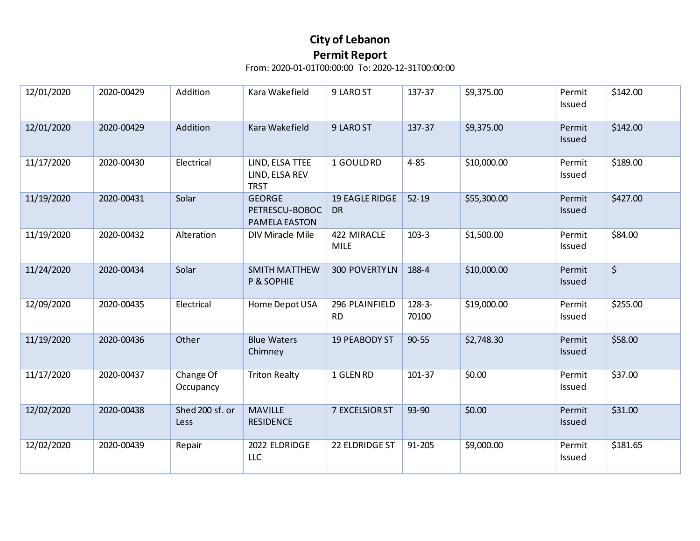| 12/01/2020 | 2020-00429 | Addition                | Kara Wakefield                                   | 9 LARO ST                          | 137-37            | \$9,375.00  | Permit<br>Issued | \$142.00 |
|------------|------------|-------------------------|--------------------------------------------------|------------------------------------|-------------------|-------------|------------------|----------|
| 12/01/2020 | 2020-00429 | Addition                | Kara Wakefield                                   | 9 LARO ST                          | 137-37            | \$9,375.00  | Permit<br>Issued | \$142.00 |
| 11/17/2020 | 2020-00430 | Electrical              | LIND, ELSA TTEE<br>LIND, ELSA REV<br><b>TRST</b> | 1 GOULD RD                         | $4 - 85$          | \$10,000.00 | Permit<br>Issued | \$189.00 |
| 11/19/2020 | 2020-00431 | Solar                   | <b>GEORGE</b><br>PETRESCU-BOBOC<br>PAMELA EASTON | <b>19 EAGLE RIDGE</b><br><b>DR</b> | $52 - 19$         | \$55,300.00 | Permit<br>Issued | \$427.00 |
| 11/19/2020 | 2020-00432 | Alteration              | DIV Miracle Mile                                 | 422 MIRACLE<br><b>MILE</b>         | $103-3$           | \$1,500.00  | Permit<br>Issued | \$84.00  |
| 11/24/2020 | 2020-00434 | Solar                   | <b>SMITH MATTHEW</b><br>P & SOPHIE               | 300 POVERTY LN                     | 188-4             | \$10,000.00 | Permit<br>Issued | $\zeta$  |
| 12/09/2020 | 2020-00435 | Electrical              | Home Depot USA                                   | 296 PLAINFIELD<br><b>RD</b>        | $128-3-$<br>70100 | \$19,000.00 | Permit<br>Issued | \$255.00 |
| 11/19/2020 | 2020-00436 | Other                   | <b>Blue Waters</b><br>Chimney                    | <b>19 PEABODY ST</b>               | $90 - 55$         | \$2,748.30  | Permit<br>Issued | \$58.00  |
| 11/17/2020 | 2020-00437 | Change Of<br>Occupancy  | <b>Triton Realty</b>                             | 1 GLEN RD                          | 101-37            | \$0.00      | Permit<br>Issued | \$37.00  |
| 12/02/2020 | 2020-00438 | Shed 200 sf. or<br>Less | <b>MAVILLE</b><br><b>RESIDENCE</b>               | 7 EXCELSIOR ST                     | 93-90             | \$0.00      | Permit<br>Issued | \$31.00  |
| 12/02/2020 | 2020-00439 | Repair                  | 2022 ELDRIDGE<br>LLC                             | 22 ELDRIDGE ST                     | 91-205            | \$9,000.00  | Permit<br>Issued | \$181.65 |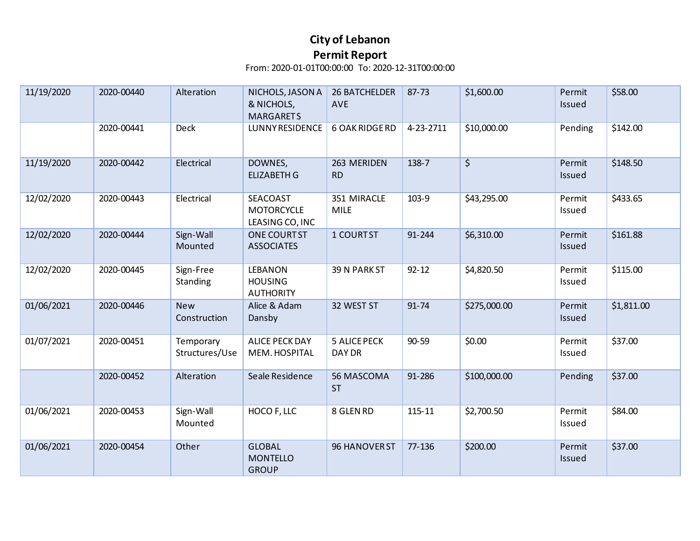| 11/19/2020 | 2020-00440 | Alteration                  | NICHOLS, JASON A<br>& NICHOLS,<br><b>MARGARETS</b>   | <b>26 BATCHELDER</b><br><b>AVE</b> | 87-73     | \$1,600.00   | Permit<br>Issued | \$58.00    |
|------------|------------|-----------------------------|------------------------------------------------------|------------------------------------|-----------|--------------|------------------|------------|
|            | 2020-00441 | <b>Deck</b>                 | <b>LUNNY RESIDENCE</b>                               | <b>6 OAK RIDGE RD</b>              | 4-23-2711 | \$10,000.00  | Pending          | \$142.00   |
| 11/19/2020 | 2020-00442 | Electrical                  | DOWNES,<br><b>ELIZABETH G</b>                        | 263 MERIDEN<br><b>RD</b>           | 138-7     | \$           | Permit<br>Issued | \$148.50   |
| 12/02/2020 | 2020-00443 | Electrical                  | SEACOAST<br><b>MOTORCYCLE</b><br>LEASING CO, INC     | 351 MIRACLE<br><b>MILE</b>         | 103-9     | \$43,295.00  | Permit<br>Issued | \$433.65   |
| 12/02/2020 | 2020-00444 | Sign-Wall<br>Mounted        | ONE COURTST<br><b>ASSOCIATES</b>                     | 1 COURTST                          | 91-244    | \$6,310.00   | Permit<br>Issued | \$161.88   |
| 12/02/2020 | 2020-00445 | Sign-Free<br>Standing       | <b>LEBANON</b><br><b>HOUSING</b><br><b>AUTHORITY</b> | 39 N PARK ST                       | $92 - 12$ | \$4,820.50   | Permit<br>Issued | \$115.00   |
| 01/06/2021 | 2020-00446 | <b>New</b><br>Construction  | Alice & Adam<br>Dansby                               | 32 WEST ST                         | 91-74     | \$275,000.00 | Permit<br>Issued | \$1,811.00 |
| 01/07/2021 | 2020-00451 | Temporary<br>Structures/Use | <b>ALICE PECK DAY</b><br>MEM. HOSPITAL               | <b>5 ALICE PECK</b><br>DAY DR      | 90-59     | \$0.00       | Permit<br>Issued | \$37.00    |
|            | 2020-00452 | Alteration                  | Seale Residence                                      | 56 MASCOMA<br><b>ST</b>            | 91-286    | \$100,000.00 | Pending          | \$37.00    |
| 01/06/2021 | 2020-00453 | Sign-Wall<br>Mounted        | HOCO F, LLC                                          | 8 GLEN RD                          | 115-11    | \$2,700.50   | Permit<br>Issued | \$84.00    |
| 01/06/2021 | 2020-00454 | Other                       | <b>GLOBAL</b><br><b>MONTELLO</b><br><b>GROUP</b>     | 96 HANOVER ST                      | 77-136    | \$200.00     | Permit<br>Issued | \$37.00    |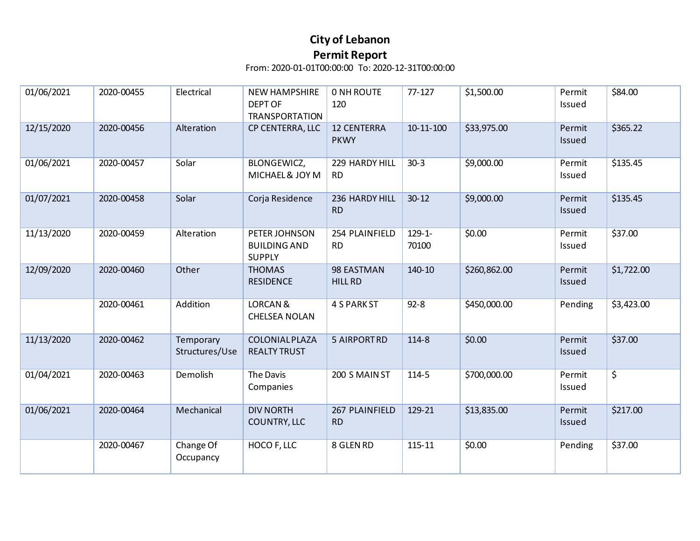| 01/06/2021 | 2020-00455 | Electrical                  | <b>NEW HAMPSHIRE</b><br><b>DEPT OF</b><br><b>TRANSPORTATION</b> | <b>0 NH ROUTE</b><br>120          | $77 - 127$           | \$1,500.00   | Permit<br>Issued | \$84.00    |
|------------|------------|-----------------------------|-----------------------------------------------------------------|-----------------------------------|----------------------|--------------|------------------|------------|
| 12/15/2020 | 2020-00456 | Alteration                  | CP CENTERRA, LLC                                                | <b>12 CENTERRA</b><br><b>PKWY</b> | $10 - 11 - 100$      | \$33,975.00  | Permit<br>Issued | \$365.22   |
| 01/06/2021 | 2020-00457 | Solar                       | <b>BLONGEWICZ,</b><br>MICHAEL& JOY M                            | 229 HARDY HILL<br><b>RD</b>       | $30-3$               | \$9,000.00   | Permit<br>Issued | \$135.45   |
| 01/07/2021 | 2020-00458 | Solar                       | Corja Residence                                                 | 236 HARDY HILL<br><b>RD</b>       | $30 - 12$            | \$9,000.00   | Permit<br>Issued | \$135.45   |
| 11/13/2020 | 2020-00459 | Alteration                  | PETER JOHNSON<br><b>BUILDING AND</b><br><b>SUPPLY</b>           | 254 PLAINFIELD<br><b>RD</b>       | $129 - 1 -$<br>70100 | \$0.00       | Permit<br>Issued | \$37.00    |
| 12/09/2020 | 2020-00460 | Other                       | <b>THOMAS</b><br><b>RESIDENCE</b>                               | 98 EASTMAN<br><b>HILL RD</b>      | 140-10               | \$260,862.00 | Permit<br>Issued | \$1,722.00 |
|            | 2020-00461 | Addition                    | <b>LORCAN &amp;</b><br><b>CHELSEA NOLAN</b>                     | <b>4 S PARK ST</b>                | $92 - 8$             | \$450,000.00 | Pending          | \$3,423.00 |
| 11/13/2020 | 2020-00462 | Temporary<br>Structures/Use | <b>COLONIAL PLAZA</b><br><b>REALTY TRUST</b>                    | <b>5 AIRPORTRD</b>                | 114-8                | \$0.00       | Permit<br>Issued | \$37.00    |
| 01/04/2021 | 2020-00463 | Demolish                    | The Davis<br>Companies                                          | 200 S MAIN ST                     | 114-5                | \$700,000.00 | Permit<br>Issued | \$         |
| 01/06/2021 | 2020-00464 | Mechanical                  | <b>DIV NORTH</b><br>COUNTRY, LLC                                | 267 PLAINFIELD<br><b>RD</b>       | 129-21               | \$13,835.00  | Permit<br>Issued | \$217.00   |
|            | 2020-00467 | Change Of<br>Occupancy      | HOCO F, LLC                                                     | 8 GLEN RD                         | 115-11               | \$0.00       | Pending          | \$37.00    |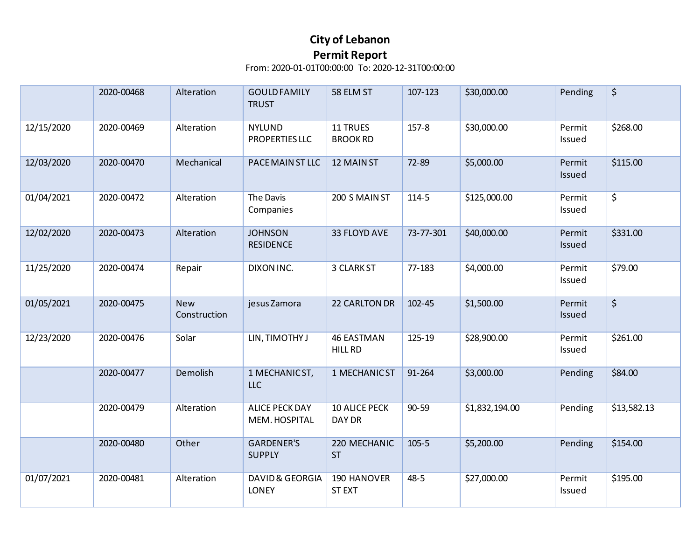|            | 2020-00468 | Alteration                 | <b>GOULD FAMILY</b><br><b>TRUST</b>        | 58 ELM ST                          | 107-123   | \$30,000.00    | Pending          | \$          |
|------------|------------|----------------------------|--------------------------------------------|------------------------------------|-----------|----------------|------------------|-------------|
| 12/15/2020 | 2020-00469 | Alteration                 | <b>NYLUND</b><br>PROPERTIES LLC            | <b>11 TRUES</b><br><b>BROOK RD</b> | $157 - 8$ | \$30,000.00    | Permit<br>Issued | \$268.00    |
| 12/03/2020 | 2020-00470 | Mechanical                 | PACE MAIN ST LLC                           | 12 MAIN ST                         | 72-89     | \$5,000.00     | Permit<br>Issued | \$115.00    |
| 01/04/2021 | 2020-00472 | Alteration                 | The Davis<br>Companies                     | 200 S MAIN ST                      | 114-5     | \$125,000.00   | Permit<br>Issued | \$          |
| 12/02/2020 | 2020-00473 | Alteration                 | <b>JOHNSON</b><br><b>RESIDENCE</b>         | 33 FLOYD AVE                       | 73-77-301 | \$40,000.00    | Permit<br>Issued | \$331.00    |
| 11/25/2020 | 2020-00474 | Repair                     | DIXON INC.                                 | 3 CLARK ST                         | 77-183    | \$4,000.00     | Permit<br>Issued | \$79.00     |
| 01/05/2021 | 2020-00475 | <b>New</b><br>Construction | jesus Zamora                               | 22 CARLTON DR                      | 102-45    | \$1,500.00     | Permit<br>Issued | \$          |
| 12/23/2020 | 2020-00476 | Solar                      | LIN, TIMOTHY J                             | <b>46 EASTMAN</b><br>HILL RD       | 125-19    | \$28,900.00    | Permit<br>Issued | \$261.00    |
|            | 2020-00477 | Demolish                   | 1 MECHANIC ST,<br>LLC                      | 1 MECHANIC ST                      | 91-264    | \$3,000.00     | Pending          | \$84.00     |
|            | 2020-00479 | Alteration                 | <b>ALICE PECK DAY</b><br>MEM. HOSPITAL     | <b>10 ALICE PECK</b><br>DAY DR     | 90-59     | \$1,832,194.00 | Pending          | \$13,582.13 |
|            | 2020-00480 | Other                      | <b>GARDENER'S</b><br><b>SUPPLY</b>         | 220 MECHANIC<br><b>ST</b>          | $105 - 5$ | \$5,200.00     | Pending          | \$154.00    |
| 01/07/2021 | 2020-00481 | Alteration                 | <b>DAVID &amp; GEORGIA</b><br><b>LONEY</b> | 190 HANOVER<br><b>ST EXT</b>       | $48 - 5$  | \$27,000.00    | Permit<br>Issued | \$195.00    |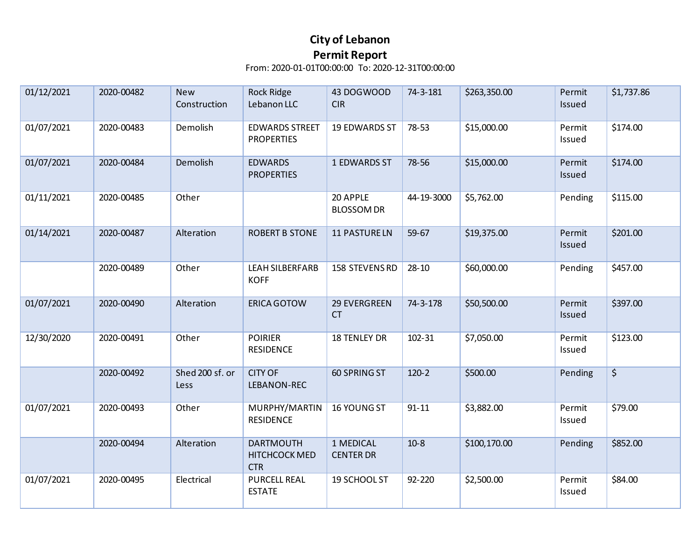| 01/12/2021 | 2020-00482 | <b>New</b><br>Construction | <b>Rock Ridge</b><br>Lebanon LLC                | 43 DOGWOOD<br><b>CIR</b>      | 74-3-181   | \$263,350.00 | Permit<br>Issued | \$1,737.86       |
|------------|------------|----------------------------|-------------------------------------------------|-------------------------------|------------|--------------|------------------|------------------|
| 01/07/2021 | 2020-00483 | Demolish                   | <b>EDWARDS STREET</b><br><b>PROPERTIES</b>      | 19 EDWARDS ST                 | 78-53      | \$15,000.00  | Permit<br>Issued | \$174.00         |
| 01/07/2021 | 2020-00484 | Demolish                   | <b>EDWARDS</b><br><b>PROPERTIES</b>             | 1 EDWARDS ST                  | 78-56      | \$15,000.00  | Permit<br>Issued | \$174.00         |
| 01/11/2021 | 2020-00485 | Other                      |                                                 | 20 APPLE<br><b>BLOSSOM DR</b> | 44-19-3000 | \$5,762.00   | Pending          | \$115.00         |
| 01/14/2021 | 2020-00487 | Alteration                 | <b>ROBERT B STONE</b>                           | <b>11 PASTURE LN</b>          | 59-67      | \$19,375.00  | Permit<br>Issued | \$201.00         |
|            | 2020-00489 | Other                      | <b>LEAH SILBERFARB</b><br><b>KOFF</b>           | 158 STEVENS RD                | 28-10      | \$60,000.00  | Pending          | \$457.00         |
| 01/07/2021 | 2020-00490 | Alteration                 | <b>ERICA GOTOW</b>                              | 29 EVERGREEN<br><b>CT</b>     | 74-3-178   | \$50,500.00  | Permit<br>Issued | \$397.00         |
| 12/30/2020 | 2020-00491 | Other                      | <b>POIRIER</b><br><b>RESIDENCE</b>              | <b>18 TENLEY DR</b>           | 102-31     | \$7,050.00   | Permit<br>Issued | \$123.00         |
|            | 2020-00492 | Shed 200 sf. or<br>Less    | <b>CITY OF</b><br>LEBANON-REC                   | 60 SPRING ST                  | $120-2$    | \$500.00     | Pending          | $\overline{\xi}$ |
| 01/07/2021 | 2020-00493 | Other                      | MURPHY/MARTIN<br><b>RESIDENCE</b>               | 16 YOUNG ST                   | $91 - 11$  | \$3,882.00   | Permit<br>Issued | \$79.00          |
|            | 2020-00494 | Alteration                 | <b>DARTMOUTH</b><br>HITCHCOCK MED<br><b>CTR</b> | 1 MEDICAL<br><b>CENTER DR</b> | $10-8$     | \$100,170.00 | Pending          | \$852.00         |
| 01/07/2021 | 2020-00495 | Electrical                 | <b>PURCELL REAL</b><br><b>ESTATE</b>            | 19 SCHOOL ST                  | 92-220     | \$2,500.00   | Permit<br>Issued | \$84.00          |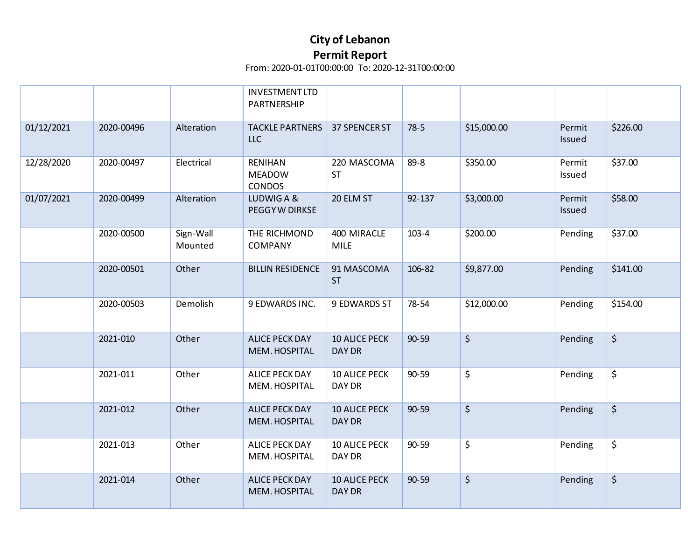|            |            |                      | INVESTMENTLTD<br>PARTNERSHIP                     |                                       |           |             |                  |          |
|------------|------------|----------------------|--------------------------------------------------|---------------------------------------|-----------|-------------|------------------|----------|
| 01/12/2021 | 2020-00496 | Alteration           | <b>TACKLE PARTNERS</b><br><b>LLC</b>             | 37 SPENCER ST                         | $78-5$    | \$15,000.00 | Permit<br>Issued | \$226.00 |
| 12/28/2020 | 2020-00497 | Electrical           | <b>RENIHAN</b><br><b>MEADOW</b><br><b>CONDOS</b> | 220 MASCOMA<br><b>ST</b>              | 89-8      | \$350.00    | Permit<br>Issued | \$37.00  |
| 01/07/2021 | 2020-00499 | Alteration           | LUDWIG A &<br>PEGGYW DIRKSE                      | 20 ELM ST                             | 92-137    | \$3,000.00  | Permit<br>Issued | \$58.00  |
|            | 2020-00500 | Sign-Wall<br>Mounted | THE RICHMOND<br><b>COMPANY</b>                   | 400 MIRACLE<br><b>MILE</b>            | $103 - 4$ | \$200.00    | Pending          | \$37.00  |
|            | 2020-00501 | Other                | <b>BILLIN RESIDENCE</b>                          | 91 MASCOMA<br><b>ST</b>               | 106-82    | \$9,877.00  | Pending          | \$141.00 |
|            | 2020-00503 | Demolish             | 9 EDWARDS INC.                                   | 9 EDWARDS ST                          | 78-54     | \$12,000.00 | Pending          | \$154.00 |
|            | 2021-010   | Other                | <b>ALICE PECK DAY</b><br>MEM. HOSPITAL           | <b>10 ALICE PECK</b><br>DAY DR        | $90 - 59$ | $\zeta$     | Pending          | \$       |
|            | 2021-011   | Other                | <b>ALICE PECK DAY</b><br>MEM. HOSPITAL           | <b>10 ALICE PECK</b><br>DAY DR        | 90-59     | \$          | Pending          | \$       |
|            | 2021-012   | Other                | <b>ALICE PECK DAY</b><br>MEM. HOSPITAL           | <b>10 ALICE PECK</b><br><b>DAY DR</b> | 90-59     | $\zeta$     | Pending          | $\zeta$  |
|            | 2021-013   | Other                | <b>ALICE PECK DAY</b><br>MEM. HOSPITAL           | <b>10 ALICE PECK</b><br>DAY DR        | 90-59     | \$          | Pending          | \$       |
|            | 2021-014   | Other                | <b>ALICE PECK DAY</b><br>MEM. HOSPITAL           | <b>10 ALICE PECK</b><br><b>DAY DR</b> | 90-59     | $\zeta$     | Pending          | $\zeta$  |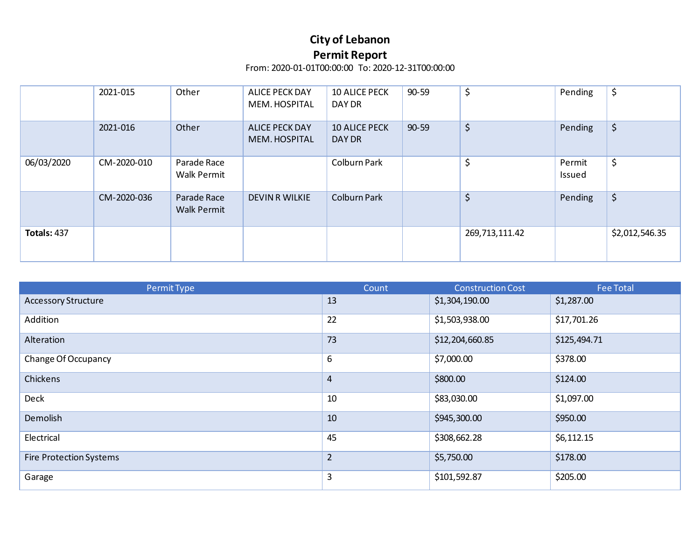|                    | 2021-015    | Other                             | <b>ALICE PECK DAY</b><br>MEM. HOSPITAL | <b>10 ALICE PECK</b><br>DAY DR | $90 - 59$ | \$             | Pending          | \$             |
|--------------------|-------------|-----------------------------------|----------------------------------------|--------------------------------|-----------|----------------|------------------|----------------|
|                    | 2021-016    | Other                             | <b>ALICE PECK DAY</b><br>MEM. HOSPITAL | <b>10 ALICE PECK</b><br>DAY DR | $90 - 59$ | \$             | Pending          | \$             |
| 06/03/2020         | CM-2020-010 | Parade Race<br><b>Walk Permit</b> |                                        | Colburn Park                   |           | \$             | Permit<br>Issued | \$             |
|                    | CM-2020-036 | Parade Race<br><b>Walk Permit</b> | <b>DEVIN R WILKIE</b>                  | <b>Colburn Park</b>            |           | \$             | Pending          | \$             |
| <b>Totals: 437</b> |             |                                   |                                        |                                |           | 269,713,111.42 |                  | \$2,012,546.35 |

| Permit Type                    | Count          | <b>Construction Cost</b> | <b>Fee Total</b> |
|--------------------------------|----------------|--------------------------|------------------|
| <b>Accessory Structure</b>     | 13             | \$1,304,190.00           | \$1,287.00       |
| Addition                       | 22             | \$1,503,938.00           | \$17,701.26      |
| Alteration                     | 73             | \$12,204,660.85          | \$125,494.71     |
| Change Of Occupancy            | 6              | \$7,000.00               | \$378.00         |
| Chickens                       | 4              | \$800.00                 | \$124.00         |
| <b>Deck</b>                    | 10             | \$83,030.00              | \$1,097.00       |
| Demolish                       | 10             | \$945,300.00             | \$950.00         |
| Electrical                     | 45             | \$308,662.28             | \$6,112.15       |
| <b>Fire Protection Systems</b> | $\overline{2}$ | \$5,750.00               | \$178.00         |
| Garage                         | 3              | \$101,592.87             | \$205.00         |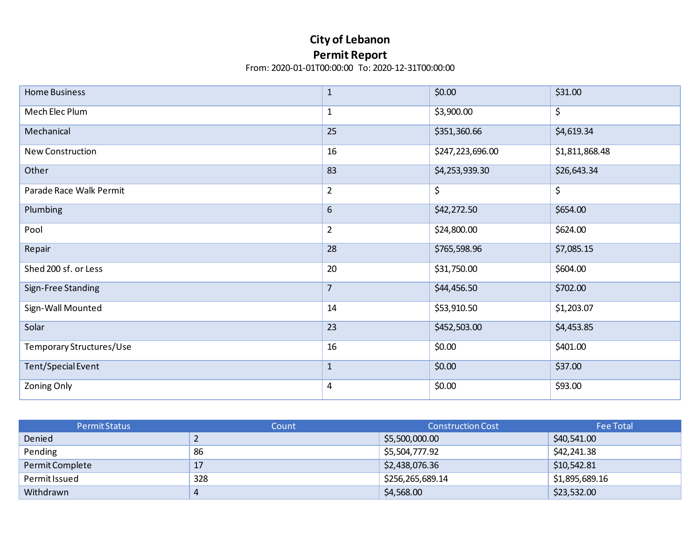| <b>Home Business</b>     | $\mathbf 1$    | \$0.00           | \$31.00        |
|--------------------------|----------------|------------------|----------------|
| Mech Elec Plum           | $\mathbf{1}$   | \$3,900.00       | \$             |
| Mechanical               | 25             | \$351,360.66     | \$4,619.34     |
| <b>New Construction</b>  | 16             | \$247,223,696.00 | \$1,811,868.48 |
| Other                    | 83             | \$4,253,939.30   | \$26,643.34    |
| Parade Race Walk Permit  | $\overline{2}$ | \$               | \$             |
| Plumbing                 | 6              | \$42,272.50      | \$654.00       |
| Pool                     | $\overline{2}$ | \$24,800.00      | \$624.00       |
| Repair                   | 28             | \$765,598.96     | \$7,085.15     |
| Shed 200 sf. or Less     | 20             | \$31,750.00      | \$604.00       |
| Sign-Free Standing       | $\overline{7}$ | \$44,456.50      | \$702.00       |
| Sign-Wall Mounted        | 14             | \$53,910.50      | \$1,203.07     |
| Solar                    | 23             | \$452,503.00     | \$4,453.85     |
| Temporary Structures/Use | 16             | \$0.00           | \$401.00       |
| Tent/Special Event       | $\mathbf 1$    | \$0.00           | \$37.00        |
| Zoning Only              | 4              | \$0.00           | \$93.00        |

| <b>Permit Status</b> | Count | <b>Construction Cost</b> | <b>Fee Total</b> |
|----------------------|-------|--------------------------|------------------|
| Denied               |       | \$5,500,000.00           | \$40,541.00      |
| Pending              | 86    | \$5,504,777.92           | \$42,241.38      |
| Permit Complete      | 17    | \$2,438,076.36           | \$10,542.81      |
| Permit Issued        | 328   | \$256,265,689.14         | \$1,895,689.16   |
| Withdrawn            | 4     | \$4,568.00               | \$23,532.00      |